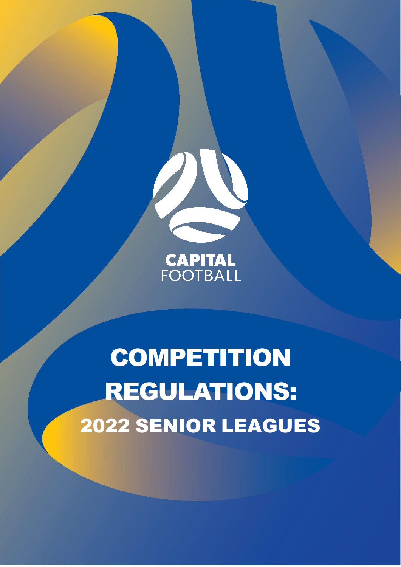

**CAPITAL**<br>FOOTBALL

**COMPETITION** REGULATIONS: 2022 SENIOR LEAGUES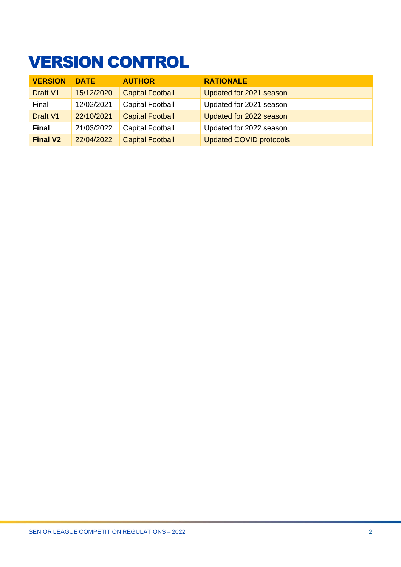# <span id="page-1-0"></span>VERSION CONTROL

| <b>VERSION</b>  | <b>DATE</b> | <b>AUTHOR</b>           | <b>RATIONALE</b>               |
|-----------------|-------------|-------------------------|--------------------------------|
| Draft V1        | 15/12/2020  | <b>Capital Football</b> | Updated for 2021 season        |
| Final           | 12/02/2021  | <b>Capital Football</b> | Updated for 2021 season        |
| Draft V1        | 22/10/2021  | <b>Capital Football</b> | Updated for 2022 season        |
| <b>Final</b>    | 21/03/2022  | <b>Capital Football</b> | Updated for 2022 season        |
| <b>Final V2</b> | 22/04/2022  | <b>Capital Football</b> | <b>Updated COVID protocols</b> |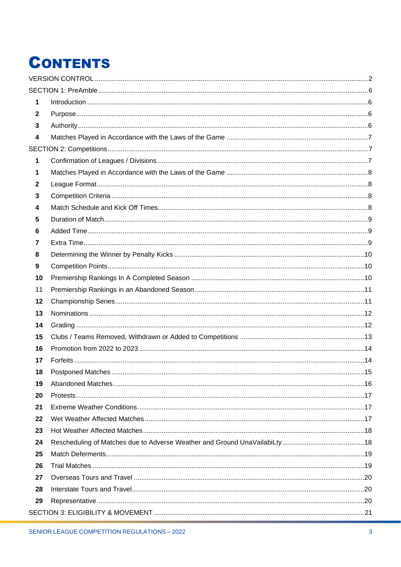# **CONTENTS**

| 1              |  |
|----------------|--|
| $\mathbf 2$    |  |
| 3              |  |
| 4              |  |
|                |  |
| 1              |  |
| 1              |  |
| $\mathbf{2}$   |  |
| 3              |  |
| 4              |  |
| 5              |  |
| 6              |  |
| $\overline{7}$ |  |
| 8              |  |
| 9              |  |
| 10             |  |
| 11             |  |
| 12             |  |
| 13             |  |
| 14             |  |
| 15             |  |
| 16             |  |
| 17             |  |
| 18             |  |
| 19             |  |
| 20             |  |
| 21             |  |
| 22             |  |
| 23             |  |
| 24             |  |
| 25             |  |
| 26             |  |
| 27             |  |
| 28             |  |
| 29             |  |
|                |  |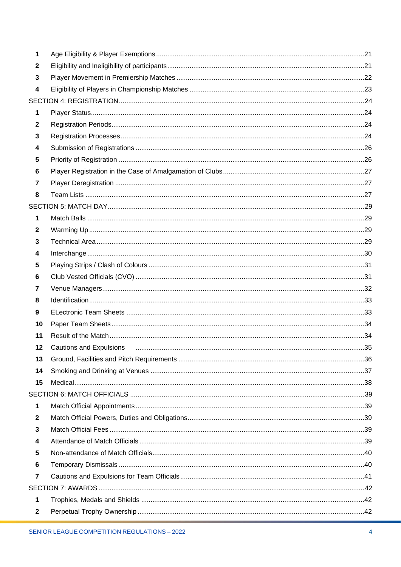| 1              |  |
|----------------|--|
| $\mathbf{2}$   |  |
| 3              |  |
| 4              |  |
|                |  |
| 1              |  |
| $\mathbf 2$    |  |
| 3              |  |
| 4              |  |
| 5              |  |
| 6              |  |
| 7              |  |
| 8              |  |
|                |  |
| 1              |  |
| $\mathbf{2}$   |  |
| 3              |  |
| 4              |  |
| 5              |  |
| 6              |  |
| $\overline{7}$ |  |
| 8              |  |
| 9              |  |
| 10             |  |
| 11             |  |
| 12             |  |
| 13             |  |
| 14             |  |
| 15             |  |
|                |  |
| 1              |  |
| $\mathbf{2}$   |  |
| 3              |  |
| 4              |  |
| 5              |  |
| 6              |  |
| $\overline{7}$ |  |
|                |  |
| 1              |  |
| $\mathbf{2}$   |  |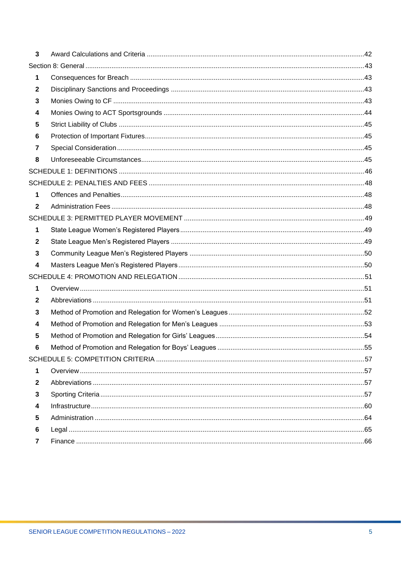| $\overline{\mathbf{3}}$ |  |
|-------------------------|--|
|                         |  |
| 1                       |  |
| $\mathbf{2}$            |  |
| 3                       |  |
| 4                       |  |
| 5                       |  |
| 6                       |  |
| 7                       |  |
| 8                       |  |
|                         |  |
|                         |  |
| 1                       |  |
| $\mathbf{2}$            |  |
|                         |  |
| 1                       |  |
| $\mathbf{2}$            |  |
| 3                       |  |
| 4                       |  |
|                         |  |
| 1                       |  |
| $\mathbf{2}$            |  |
| 3                       |  |
| 4                       |  |
| 5                       |  |
| 6                       |  |
|                         |  |
| 1                       |  |
| $\mathbf{2}$            |  |
| 3                       |  |
| 4                       |  |
| 5                       |  |
| 6                       |  |
| 7                       |  |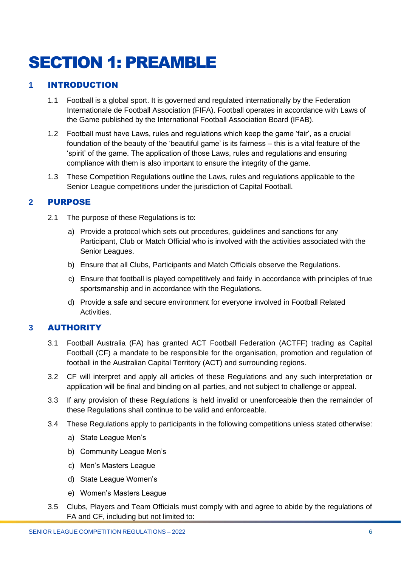# <span id="page-5-0"></span>SECTION 1: PREAMBLE

# <span id="page-5-1"></span>**1** INTRODUCTION

- 1.1 Football is a global sport. It is governed and regulated internationally by the Federation Internationale de Football Association (FIFA). Football operates in accordance with [Laws of](https://downloads.theifab.com/downloads/laws-of-the-game-2021-22?l=en)  [the Game](https://downloads.theifab.com/downloads/laws-of-the-game-2021-22?l=en) published by the International Football Association Board (IFAB).
- 1.2 Football must have Laws, rules and regulations which keep the game 'fair', as a crucial foundation of the beauty of the 'beautiful game' is its fairness – this is a vital feature of the 'spirit' of the game. The application of those Laws, rules and regulations and ensuring compliance with them is also important to ensure the integrity of the game.
- 1.3 These Competition Regulations outline the Laws, rules and regulations applicable to the Senior League competitions under the jurisdiction of Capital Football.

# <span id="page-5-2"></span>**2** PURPOSE

- 2.1 The purpose of these Regulations is to:
	- a) Provide a protocol which sets out procedures, guidelines and sanctions for any Participant, Club or Match Official who is involved with the activities associated with the Senior Leagues.
	- b) Ensure that all Clubs, Participants and Match Officials observe the Regulations.
	- c) Ensure that football is played competitively and fairly in accordance with principles of true sportsmanship and in accordance with the Regulations.
	- d) Provide a safe and secure environment for everyone involved in Football Related Activities.

# <span id="page-5-3"></span>**3** AUTHORITY

- 3.1 Football Australia (FA) has granted ACT Football Federation (ACTFF) trading as Capital Football (CF) a mandate to be responsible for the organisation, promotion and regulation of football in the Australian Capital Territory (ACT) and surrounding regions.
- 3.2 CF will interpret and apply all articles of these Regulations and any such interpretation or application will be final and binding on all parties, and not subject to challenge or appeal.
- 3.3 If any provision of these Regulations is held invalid or unenforceable then the remainder of these Regulations shall continue to be valid and enforceable.
- 3.4 These Regulations apply to participants in the following competitions unless stated otherwise:
	- a) State League Men's
	- b) Community League Men's
	- c) Men's Masters League
	- d) State League Women's
	- e) Women's Masters League
- 3.5 Clubs, Players and Team Officials must comply with and agree to abide by the regulations of FA and CF, including but not limited to: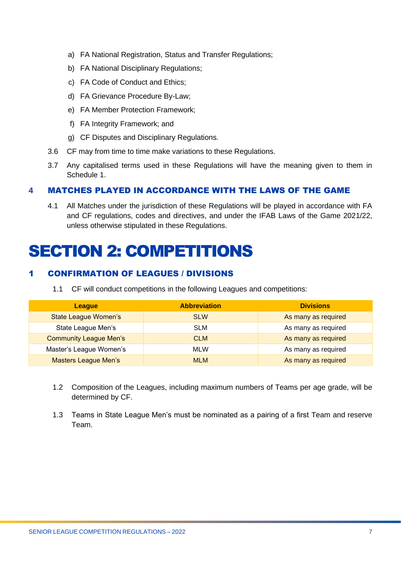- a) FA National Registration, Status and Transfer Regulations;
- b) FA National Disciplinary Regulations;
- c) FA Code of Conduct and Ethics;
- d) FA Grievance Procedure By-Law;
- e) FA Member Protection Framework;
- f) FA Integrity Framework; and
- g) CF Disputes and Disciplinary Regulations.
- 3.6 CF may from time to time make variations to these Regulations.
- 3.7 Any capitalised terms used in these Regulations will have the meaning given to them in Schedule 1.

# <span id="page-6-0"></span>**4** MATCHES PLAYED IN ACCORDANCE WITH THE LAWS OF THE GAME

4.1 All Matches under the jurisdiction of these Regulations will be played in accordance with FA and CF regulations, codes and directives, and under the IFAB Laws of the Game 2021/22, unless otherwise stipulated in these Regulations.

# <span id="page-6-1"></span>SECTION 2: COMPETITIONS

# <span id="page-6-2"></span>1 CONFIRMATION OF LEAGUES / DIVISIONS

1.1 CF will conduct competitions in the following Leagues and competitions:

| League                        | <b>Abbreviation</b> | <b>Divisions</b>    |
|-------------------------------|---------------------|---------------------|
| <b>State League Women's</b>   | <b>SLW</b>          | As many as required |
| State League Men's            | <b>SLM</b>          | As many as required |
| <b>Community League Men's</b> | <b>CLM</b>          | As many as required |
| Master's League Women's       | <b>MLW</b>          | As many as required |
| <b>Masters League Men's</b>   | <b>MLM</b>          | As many as required |

- 1.2 Composition of the Leagues, including maximum numbers of Teams per age grade, will be determined by CF.
- 1.3 Teams in State League Men's must be nominated as a pairing of a first Team and reserve Team.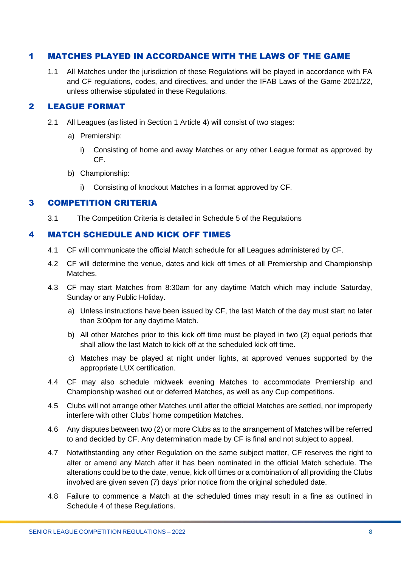# <span id="page-7-0"></span>1 MATCHES PLAYED IN ACCORDANCE WITH THE LAWS OF THE GAME

1.1 All Matches under the jurisdiction of these Regulations will be played in accordance with FA and CF regulations, codes, and directives, and under the IFAB Laws of the Game 2021/22, unless otherwise stipulated in these Regulations.

# <span id="page-7-1"></span>2 LEAGUE FORMAT

- 2.1 All Leagues (as listed in Section 1 Article 4) will consist of two stages:
	- a) Premiership:
		- i) Consisting of home and away Matches or any other League format as approved by CF.
	- b) Championship:
		- i) Consisting of knockout Matches in a format approved by CF.

#### <span id="page-7-2"></span>3 COMPETITION CRITERIA

3.1 The Competition Criteria is detailed in Schedule 5 of the Regulations

#### <span id="page-7-3"></span>4 MATCH SCHEDULE AND KICK OFF TIMES

- 4.1 CF will communicate the official Match schedule for all Leagues administered by CF.
- 4.2 CF will determine the venue, dates and kick off times of all Premiership and Championship Matches.
- 4.3 CF may start Matches from 8:30am for any daytime Match which may include Saturday, Sunday or any Public Holiday.
	- a) Unless instructions have been issued by CF, the last Match of the day must start no later than 3:00pm for any daytime Match.
	- b) All other Matches prior to this kick off time must be played in two (2) equal periods that shall allow the last Match to kick off at the scheduled kick off time.
	- c) Matches may be played at night under lights, at approved venues supported by the appropriate LUX certification.
- 4.4 CF may also schedule midweek evening Matches to accommodate Premiership and Championship washed out or deferred Matches, as well as any Cup competitions.
- 4.5 Clubs will not arrange other Matches until after the official Matches are settled, nor improperly interfere with other Clubs' home competition Matches.
- 4.6 Any disputes between two (2) or more Clubs as to the arrangement of Matches will be referred to and decided by CF. Any determination made by CF is final and not subject to appeal.
- 4.7 Notwithstanding any other Regulation on the same subject matter, CF reserves the right to alter or amend any Match after it has been nominated in the official Match schedule. The alterations could be to the date, venue, kick off times or a combination of all providing the Clubs involved are given seven (7) days' prior notice from the original scheduled date.
- 4.8 Failure to commence a Match at the scheduled times may result in a fine as outlined in Schedule 4 of these Regulations.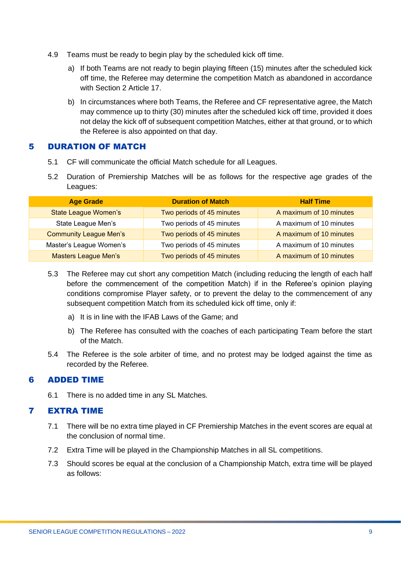- 4.9 Teams must be ready to begin play by the scheduled kick off time.
	- a) If both Teams are not ready to begin playing fifteen (15) minutes after the scheduled kick off time, the Referee may determine the competition Match as abandoned in accordance with Section 2 Article 17
	- b) In circumstances where both Teams, the Referee and CF representative agree, the Match may commence up to thirty (30) minutes after the scheduled kick off time, provided it does not delay the kick off of subsequent competition Matches, either at that ground, or to which the Referee is also appointed on that day.

#### <span id="page-8-0"></span>5 DURATION OF MATCH

- 5.1 CF will communicate the official Match schedule for all Leagues.
- 5.2 Duration of Premiership Matches will be as follows for the respective age grades of the Leagues:

| <b>Age Grade</b>              | <b>Duration of Match</b>  | <b>Half Time</b>        |
|-------------------------------|---------------------------|-------------------------|
| <b>State League Women's</b>   | Two periods of 45 minutes | A maximum of 10 minutes |
| State League Men's            | Two periods of 45 minutes | A maximum of 10 minutes |
| <b>Community League Men's</b> | Two periods of 45 minutes | A maximum of 10 minutes |
| Master's League Women's       | Two periods of 45 minutes | A maximum of 10 minutes |
| <b>Masters League Men's</b>   | Two periods of 45 minutes | A maximum of 10 minutes |

- 5.3 The Referee may cut short any competition Match (including reducing the length of each half before the commencement of the competition Match) if in the Referee's opinion playing conditions compromise Player safety, or to prevent the delay to the commencement of any subsequent competition Match from its scheduled kick off time, only if:
	- a) It is in line with the IFAB Laws of the Game; and
	- b) The Referee has consulted with the coaches of each participating Team before the start of the Match.
- 5.4 The Referee is the sole arbiter of time, and no protest may be lodged against the time as recorded by the Referee.

#### <span id="page-8-1"></span>6 ADDED TIME

6.1 There is no added time in any SL Matches.

#### <span id="page-8-2"></span>7 EXTRA TIME

- 7.1 There will be no extra time played in CF Premiership Matches in the event scores are equal at the conclusion of normal time.
- 7.2 Extra Time will be played in the Championship Matches in all SL competitions.
- 7.3 Should scores be equal at the conclusion of a Championship Match, extra time will be played as follows: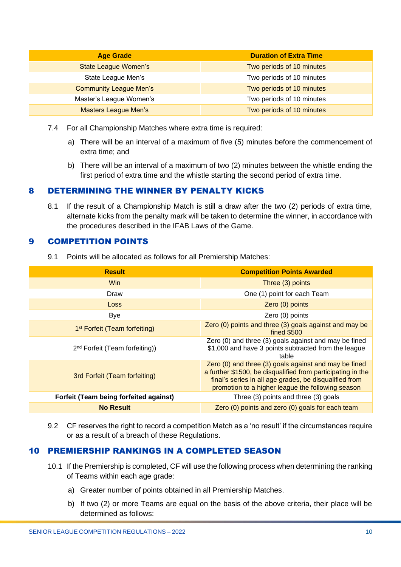| <b>Age Grade</b>              | <b>Duration of Extra Time</b> |
|-------------------------------|-------------------------------|
| <b>State League Women's</b>   | Two periods of 10 minutes     |
| State League Men's            | Two periods of 10 minutes     |
| <b>Community League Men's</b> | Two periods of 10 minutes     |
| Master's League Women's       | Two periods of 10 minutes     |
| <b>Masters League Men's</b>   | Two periods of 10 minutes     |

- 7.4 For all Championship Matches where extra time is required:
	- a) There will be an interval of a maximum of five (5) minutes before the commencement of extra time; and
	- b) There will be an interval of a maximum of two (2) minutes between the whistle ending the first period of extra time and the whistle starting the second period of extra time.

# <span id="page-9-0"></span>8 DETERMINING THE WINNER BY PENALTY KICKS

8.1 If the result of a Championship Match is still a draw after the two (2) periods of extra time, alternate kicks from the penalty mark will be taken to determine the winner, in accordance with the procedures described in the IFAB Laws of the Game.

#### <span id="page-9-1"></span>9 COMPETITION POINTS

|  | 9.1 Points will be allocated as follows for all Premiership Matches: |  |  |
|--|----------------------------------------------------------------------|--|--|
|--|----------------------------------------------------------------------|--|--|

| <b>Result</b>                              | <b>Competition Points Awarded</b>                                                                                                                                                                                                   |
|--------------------------------------------|-------------------------------------------------------------------------------------------------------------------------------------------------------------------------------------------------------------------------------------|
| <b>Win</b>                                 | Three (3) points                                                                                                                                                                                                                    |
| Draw                                       | One (1) point for each Team                                                                                                                                                                                                         |
| Loss                                       | Zero (0) points                                                                                                                                                                                                                     |
| <b>Bye</b>                                 | Zero (0) points                                                                                                                                                                                                                     |
| 1 <sup>st</sup> Forfeit (Team forfeiting)  | Zero (0) points and three (3) goals against and may be<br><b>fined \$500</b>                                                                                                                                                        |
| 2 <sup>nd</sup> Forfeit (Team forfeiting)) | Zero (0) and three (3) goals against and may be fined<br>\$1,000 and have 3 points subtracted from the league<br>table                                                                                                              |
| 3rd Forfeit (Team forfeiting)              | Zero (0) and three (3) goals against and may be fined<br>a further \$1500, be disqualified from participating in the<br>final's series in all age grades, be disqualified from<br>promotion to a higher league the following season |
| Forfeit (Team being forfeited against)     | Three (3) points and three (3) goals                                                                                                                                                                                                |
| <b>No Result</b>                           | Zero (0) points and zero (0) goals for each team                                                                                                                                                                                    |

9.2 CF reserves the right to record a competition Match as a 'no result' if the circumstances require or as a result of a breach of these Regulations.

#### <span id="page-9-2"></span>10 PREMIERSHIP RANKINGS IN A COMPLETED SEASON

- 10.1 If the Premiership is completed, CF will use the following process when determining the ranking of Teams within each age grade:
	- a) Greater number of points obtained in all Premiership Matches.
	- b) If two (2) or more Teams are equal on the basis of the above criteria, their place will be determined as follows: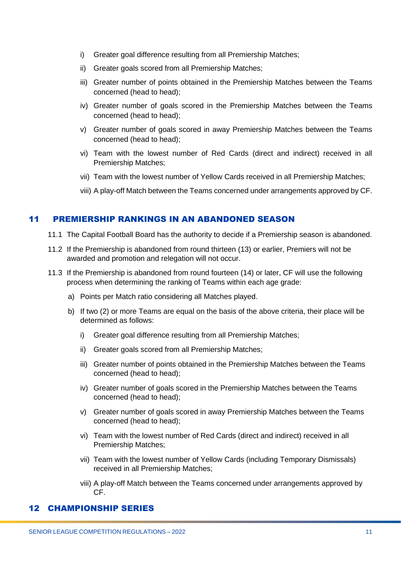- i) Greater goal difference resulting from all Premiership Matches;
- ii) Greater goals scored from all Premiership Matches;
- iii) Greater number of points obtained in the Premiership Matches between the Teams concerned (head to head);
- iv) Greater number of goals scored in the Premiership Matches between the Teams concerned (head to head);
- v) Greater number of goals scored in away Premiership Matches between the Teams concerned (head to head);
- vi) Team with the lowest number of Red Cards (direct and indirect) received in all Premiership Matches;
- vii) Team with the lowest number of Yellow Cards received in all Premiership Matches;
- viii) A play-off Match between the Teams concerned under arrangements approved by CF.

# <span id="page-10-0"></span>11 PREMIERSHIP RANKINGS IN AN ABANDONED SEASON

- 11.1 The Capital Football Board has the authority to decide if a Premiership season is abandoned.
- 11.2 If the Premiership is abandoned from round thirteen (13) or earlier, Premiers will not be awarded and promotion and relegation will not occur.
- 11.3 If the Premiership is abandoned from round fourteen (14) or later, CF will use the following process when determining the ranking of Teams within each age grade:
	- a) Points per Match ratio considering all Matches played.
	- b) If two (2) or more Teams are equal on the basis of the above criteria, their place will be determined as follows:
		- i) Greater goal difference resulting from all Premiership Matches;
		- ii) Greater goals scored from all Premiership Matches;
		- iii) Greater number of points obtained in the Premiership Matches between the Teams concerned (head to head);
		- iv) Greater number of goals scored in the Premiership Matches between the Teams concerned (head to head);
		- v) Greater number of goals scored in away Premiership Matches between the Teams concerned (head to head);
		- vi) Team with the lowest number of Red Cards (direct and indirect) received in all Premiership Matches;
		- vii) Team with the lowest number of Yellow Cards (including Temporary Dismissals) received in all Premiership Matches;
		- viii) A play-off Match between the Teams concerned under arrangements approved by CF.

#### <span id="page-10-1"></span>12 CHAMPIONSHIP SERIES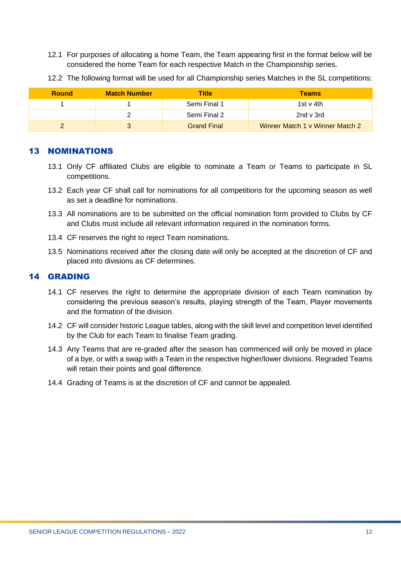12.1 For purposes of allocating a home Team, the Team appearing first in the format below will be considered the home Team for each respective Match in the Championship series.

| <b>Round</b> | <b>Match Number</b> | Title              | <b>Teams</b>                    |
|--------------|---------------------|--------------------|---------------------------------|
|              |                     | Semi Final 1       | 1st v 4th                       |
|              |                     | Semi Final 2       | 2nd v 3rd                       |
|              |                     | <b>Grand Final</b> | Winner Match 1 v Winner Match 2 |

12.2 The following format will be used for all Championship series Matches in the SL competitions:

#### <span id="page-11-0"></span>13 NOMINATIONS

- 13.1 Only CF affiliated Clubs are eligible to nominate a Team or Teams to participate in SL competitions.
- 13.2 Each year CF shall call for nominations for all competitions for the upcoming season as well as set a deadline for nominations.
- 13.3 All nominations are to be submitted on the official nomination form provided to Clubs by CF and Clubs must include all relevant information required in the nomination forms.
- 13.4 CF reserves the right to reject Team nominations.
- 13.5 Nominations received after the closing date will only be accepted at the discretion of CF and placed into divisions as CF determines.

#### <span id="page-11-1"></span>14 GRADING

- 14.1 CF reserves the right to determine the appropriate division of each Team nomination by considering the previous season's results, playing strength of the Team, Player movements and the formation of the division.
- 14.2 CF will consider historic League tables, along with the skill level and competition level identified by the Club for each Team to finalise Team grading.
- 14.3 Any Teams that are re-graded after the season has commenced will only be moved in place of a bye, or with a swap with a Team in the respective higher/lower divisions. Regraded Teams will retain their points and goal difference.
- 14.4 Grading of Teams is at the discretion of CF and cannot be appealed.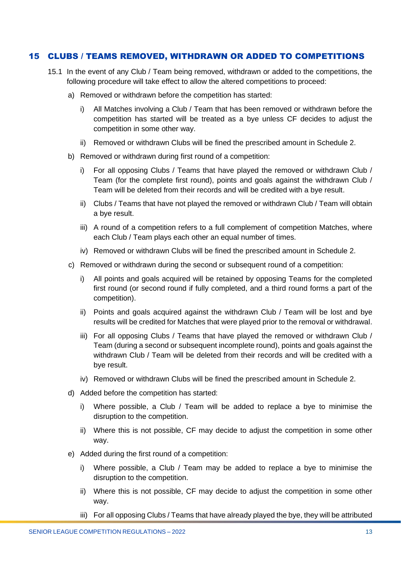#### <span id="page-12-0"></span>15 CLUBS / TEAMS REMOVED, WITHDRAWN OR ADDED TO COMPETITIONS

- 15.1 In the event of any Club / Team being removed, withdrawn or added to the competitions, the following procedure will take effect to allow the altered competitions to proceed:
	- a) Removed or withdrawn before the competition has started:
		- i) All Matches involving a Club / Team that has been removed or withdrawn before the competition has started will be treated as a bye unless CF decides to adjust the competition in some other way.
		- ii) Removed or withdrawn Clubs will be fined the prescribed amount in Schedule 2.
	- b) Removed or withdrawn during first round of a competition:
		- i) For all opposing Clubs / Teams that have played the removed or withdrawn Club / Team (for the complete first round), points and goals against the withdrawn Club / Team will be deleted from their records and will be credited with a bye result.
		- ii) Clubs / Teams that have not played the removed or withdrawn Club / Team will obtain a bye result.
		- iii) A round of a competition refers to a full complement of competition Matches, where each Club / Team plays each other an equal number of times.
		- iv) Removed or withdrawn Clubs will be fined the prescribed amount in Schedule 2.
	- c) Removed or withdrawn during the second or subsequent round of a competition:
		- i) All points and goals acquired will be retained by opposing Teams for the completed first round (or second round if fully completed, and a third round forms a part of the competition).
		- ii) Points and goals acquired against the withdrawn Club / Team will be lost and bye results will be credited for Matches that were played prior to the removal or withdrawal.
		- iii) For all opposing Clubs / Teams that have played the removed or withdrawn Club / Team (during a second or subsequent incomplete round), points and goals against the withdrawn Club / Team will be deleted from their records and will be credited with a bye result.
		- iv) Removed or withdrawn Clubs will be fined the prescribed amount in Schedule 2.
	- d) Added before the competition has started:
		- i) Where possible, a Club / Team will be added to replace a bye to minimise the disruption to the competition.
		- ii) Where this is not possible, CF may decide to adjust the competition in some other way.
	- e) Added during the first round of a competition:
		- i) Where possible, a Club / Team may be added to replace a bye to minimise the disruption to the competition.
		- ii) Where this is not possible, CF may decide to adjust the competition in some other way.
		- iii) For all opposing Clubs / Teams that have already played the bye, they will be attributed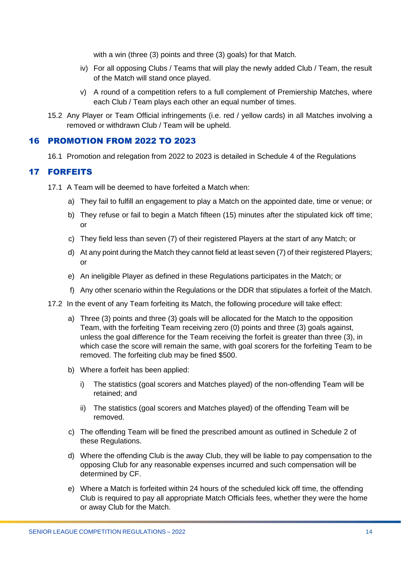with a win (three (3) points and three (3) goals) for that Match.

- iv) For all opposing Clubs / Teams that will play the newly added Club / Team, the result of the Match will stand once played.
- v) A round of a competition refers to a full complement of Premiership Matches, where each Club / Team plays each other an equal number of times.
- 15.2 Any Player or Team Official infringements (i.e. red / yellow cards) in all Matches involving a removed or withdrawn Club / Team will be upheld.

#### <span id="page-13-0"></span>16 PROMOTION FROM 2022 TO 2023

16.1 Promotion and relegation from 2022 to 2023 is detailed in Schedule 4 of the Regulations

# <span id="page-13-1"></span>17 FORFEITS

- 17.1 A Team will be deemed to have forfeited a Match when:
	- a) They fail to fulfill an engagement to play a Match on the appointed date, time or venue; or
	- b) They refuse or fail to begin a Match fifteen (15) minutes after the stipulated kick off time; or
	- c) They field less than seven (7) of their registered Players at the start of any Match; or
	- d) At any point during the Match they cannot field at least seven (7) of their registered Players; or
	- e) An ineligible Player as defined in these Regulations participates in the Match; or
	- f) Any other scenario within the Regulations or the DDR that stipulates a forfeit of the Match.
- 17.2 In the event of any Team forfeiting its Match, the following procedure will take effect:
	- a) Three (3) points and three (3) goals will be allocated for the Match to the opposition Team, with the forfeiting Team receiving zero (0) points and three (3) goals against, unless the goal difference for the Team receiving the forfeit is greater than three (3), in which case the score will remain the same, with goal scorers for the forfeiting Team to be removed. The forfeiting club may be fined \$500.
	- b) Where a forfeit has been applied:
		- i) The statistics (goal scorers and Matches played) of the non-offending Team will be retained; and
		- ii) The statistics (goal scorers and Matches played) of the offending Team will be removed.
	- c) The offending Team will be fined the prescribed amount as outlined in Schedule 2 of these Regulations.
	- d) Where the offending Club is the away Club, they will be liable to pay compensation to the opposing Club for any reasonable expenses incurred and such compensation will be determined by CF.
	- e) Where a Match is forfeited within 24 hours of the scheduled kick off time, the offending Club is required to pay all appropriate Match Officials fees, whether they were the home or away Club for the Match.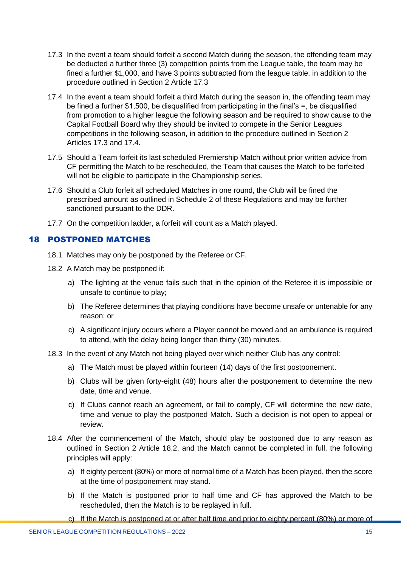- 17.3 In the event a team should forfeit a second Match during the season, the offending team may be deducted a further three (3) competition points from the League table, the team may be fined a further \$1,000, and have 3 points subtracted from the league table, in addition to the procedure outlined in Section 2 Article 17.3
- 17.4 In the event a team should forfeit a third Match during the season in, the offending team may be fined a further \$1,500, be disqualified from participating in the final's =, be disqualified from promotion to a higher league the following season and be required to show cause to the Capital Football Board why they should be invited to compete in the Senior Leagues competitions in the following season, in addition to the procedure outlined in Section 2 Articles 17.3 and 17.4.
- 17.5 Should a Team forfeit its last scheduled Premiership Match without prior written advice from CF permitting the Match to be rescheduled, the Team that causes the Match to be forfeited will not be eligible to participate in the Championship series.
- 17.6 Should a Club forfeit all scheduled Matches in one round, the Club will be fined the prescribed amount as outlined in Schedule 2 of these Regulations and may be further sanctioned pursuant to the DDR.
- 17.7 On the competition ladder, a forfeit will count as a Match played.

#### <span id="page-14-0"></span>18 POSTPONED MATCHES

- 18.1 Matches may only be postponed by the Referee or CF.
- 18.2 A Match may be postponed if:
	- a) The lighting at the venue fails such that in the opinion of the Referee it is impossible or unsafe to continue to play;
	- b) The Referee determines that playing conditions have become unsafe or untenable for any reason; or
	- c) A significant injury occurs where a Player cannot be moved and an ambulance is required to attend, with the delay being longer than thirty (30) minutes.
- 18.3 In the event of any Match not being played over which neither Club has any control:
	- a) The Match must be played within fourteen (14) days of the first postponement.
	- b) Clubs will be given forty-eight (48) hours after the postponement to determine the new date, time and venue.
	- c) If Clubs cannot reach an agreement, or fail to comply, CF will determine the new date, time and venue to play the postponed Match. Such a decision is not open to appeal or review.
- 18.4 After the commencement of the Match, should play be postponed due to any reason as outlined in Section 2 Article 18.2, and the Match cannot be completed in full, the following principles will apply:
	- a) If eighty percent (80%) or more of normal time of a Match has been played, then the score at the time of postponement may stand.
	- b) If the Match is postponed prior to half time and CF has approved the Match to be rescheduled, then the Match is to be replayed in full.
	- c) If the Match is postponed at or after half time and prior to eighty percent (80%) or more of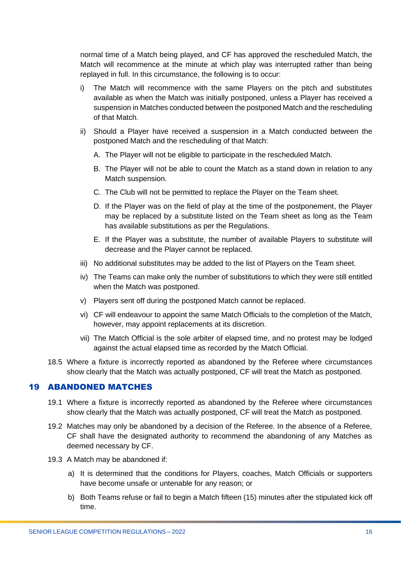normal time of a Match being played, and CF has approved the rescheduled Match, the Match will recommence at the minute at which play was interrupted rather than being replayed in full. In this circumstance, the following is to occur:

- i) The Match will recommence with the same Players on the pitch and substitutes available as when the Match was initially postponed, unless a Player has received a suspension in Matches conducted between the postponed Match and the rescheduling of that Match.
- ii) Should a Player have received a suspension in a Match conducted between the postponed Match and the rescheduling of that Match:
	- A. The Player will not be eligible to participate in the rescheduled Match.
	- B. The Player will not be able to count the Match as a stand down in relation to any Match suspension.
	- C. The Club will not be permitted to replace the Player on the Team sheet.
	- D. If the Player was on the field of play at the time of the postponement, the Player may be replaced by a substitute listed on the Team sheet as long as the Team has available substitutions as per the Regulations.
	- E. If the Player was a substitute, the number of available Players to substitute will decrease and the Player cannot be replaced.
- iii) No additional substitutes may be added to the list of Players on the Team sheet.
- iv) The Teams can make only the number of substitutions to which they were still entitled when the Match was postponed.
- v) Players sent off during the postponed Match cannot be replaced.
- vi) CF will endeavour to appoint the same Match Officials to the completion of the Match, however, may appoint replacements at its discretion.
- vii) The Match Official is the sole arbiter of elapsed time, and no protest may be lodged against the actual elapsed time as recorded by the Match Official.
- 18.5 Where a fixture is incorrectly reported as abandoned by the Referee where circumstances show clearly that the Match was actually postponed, CF will treat the Match as postponed.

### <span id="page-15-0"></span>19 ABANDONED MATCHES

- 19.1 Where a fixture is incorrectly reported as abandoned by the Referee where circumstances show clearly that the Match was actually postponed, CF will treat the Match as postponed.
- 19.2 Matches may only be abandoned by a decision of the Referee. In the absence of a Referee, CF shall have the designated authority to recommend the abandoning of any Matches as deemed necessary by CF.
- 19.3 A Match may be abandoned if:
	- a) It is determined that the conditions for Players, coaches, Match Officials or supporters have become unsafe or untenable for any reason; or
	- b) Both Teams refuse or fail to begin a Match fifteen (15) minutes after the stipulated kick off time.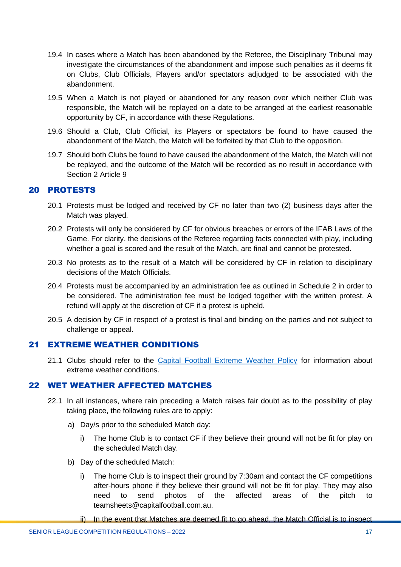- 19.4 In cases where a Match has been abandoned by the Referee, the Disciplinary Tribunal may investigate the circumstances of the abandonment and impose such penalties as it deems fit on Clubs, Club Officials, Players and/or spectators adjudged to be associated with the abandonment.
- 19.5 When a Match is not played or abandoned for any reason over which neither Club was responsible, the Match will be replayed on a date to be arranged at the earliest reasonable opportunity by CF, in accordance with these Regulations.
- 19.6 Should a Club, Club Official, its Players or spectators be found to have caused the abandonment of the Match, the Match will be forfeited by that Club to the opposition.
- 19.7 Should both Clubs be found to have caused the abandonment of the Match, the Match will not be replayed, and the outcome of the Match will be recorded as no result in accordance with Section 2 Article 9

#### <span id="page-16-0"></span>20 PROTESTS

- 20.1 Protests must be lodged and received by CF no later than two (2) business days after the Match was played.
- 20.2 Protests will only be considered by CF for obvious breaches or errors of the IFAB Laws of the Game. For clarity, the decisions of the Referee regarding facts connected with play, including whether a goal is scored and the result of the Match, are final and cannot be protested.
- 20.3 No protests as to the result of a Match will be considered by CF in relation to disciplinary decisions of the Match Officials.
- 20.4 Protests must be accompanied by an administration fee as outlined in Schedule 2 in order to be considered. The administration fee must be lodged together with the written protest. A refund will apply at the discretion of CF if a protest is upheld.
- 20.5 A decision by CF in respect of a protest is final and binding on the parties and not subject to challenge or appeal.

#### <span id="page-16-1"></span>21 EXTREME WEATHER CONDITIONS

21.1 Clubs should refer to the [Capital Football Extreme Weather Policy](https://capitalfootball.com.au/about-us/policies-procedures/) for information about extreme weather conditions.

#### <span id="page-16-2"></span>22 WET WEATHER AFFECTED MATCHES

- 22.1 In all instances, where rain preceding a Match raises fair doubt as to the possibility of play taking place, the following rules are to apply:
	- a) Day/s prior to the scheduled Match day:
		- i) The home Club is to contact CF if they believe their ground will not be fit for play on the scheduled Match day.
	- b) Day of the scheduled Match:
		- i) The home Club is to inspect their ground by 7:30am and contact the CF competitions after-hours phone if they believe their ground will not be fit for play. They may also need to send photos of the affected areas of the pitch to [teamsheets@capitalfootball.com.au.](mailto:teamsheets@capitalfootball.com.au)
		- ii) In the event that Matches are deemed fit to go ahead, the Match Official is to inspect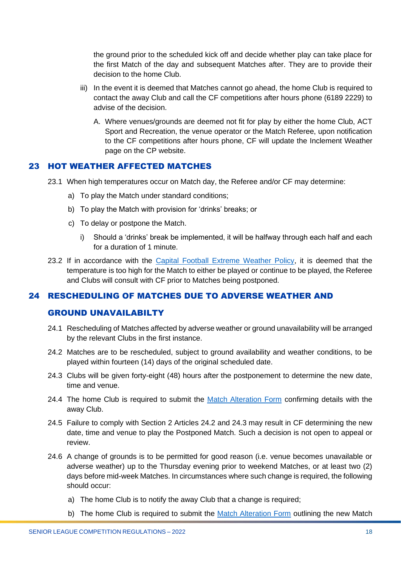the ground prior to the scheduled kick off and decide whether play can take place for the first Match of the day and subsequent Matches after. They are to provide their decision to the home Club.

- iii) In the event it is deemed that Matches cannot go ahead, the home Club is required to contact the away Club and call the CF competitions after hours phone (6189 2229) to advise of the decision.
	- A. Where venues/grounds are deemed not fit for play by either the home Club, ACT Sport and Recreation, the venue operator or the Match Referee, upon notification to the CF competitions after hours phone, CF will update the [Inclement Weather](https://capitalfootball.com.au/clubs/inclement-weather-information-for-participants/) page on the CP website.

### <span id="page-17-0"></span>23 HOT WEATHER AFFECTED MATCHES

- 23.1 When high temperatures occur on Match day, the Referee and/or CF may determine:
	- a) To play the Match under standard conditions;
	- b) To play the Match with provision for 'drinks' breaks; or
	- c) To delay or postpone the Match.
		- i) Should a 'drinks' break be implemented, it will be halfway through each half and each for a duration of 1 minute.
- 23.2 If in accordance with the [Capital Football Extreme Weather Policy,](https://capitalfootball.com.au/about-us/policies-procedures/) it is deemed that the temperature is too high for the Match to either be played or continue to be played, the Referee and Clubs will consult with CF prior to Matches being postponed.

#### <span id="page-17-1"></span>24 RESCHEDULING OF MATCHES DUE TO ADVERSE WEATHER AND

#### GROUND UNAVAILABILTY

- 24.1 Rescheduling of Matches affected by adverse weather or ground unavailability will be arranged by the relevant Clubs in the first instance.
- 24.2 Matches are to be rescheduled, subject to ground availability and weather conditions, to be played within fourteen (14) days of the original scheduled date.
- 24.3 Clubs will be given forty-eight (48) hours after the postponement to determine the new date, time and venue.
- 24.4 The home Club is required to submit the [Match Alteration Form](https://form.jotform.com/220787959394880) confirming details with the away Club.
- 24.5 Failure to comply with Section 2 Articles 24.2 and 24.3 may result in CF determining the new date, time and venue to play the Postponed Match. Such a decision is not open to appeal or review.
- 24.6 A change of grounds is to be permitted for good reason (i.e. venue becomes unavailable or adverse weather) up to the Thursday evening prior to weekend Matches, or at least two (2) days before mid-week Matches. In circumstances where such change is required, the following should occur:
	- a) The home Club is to notify the away Club that a change is required;
	- b) The home Club is required to submit the [Match Alteration Form](https://form.jotform.com/220787959394880) outlining the new Match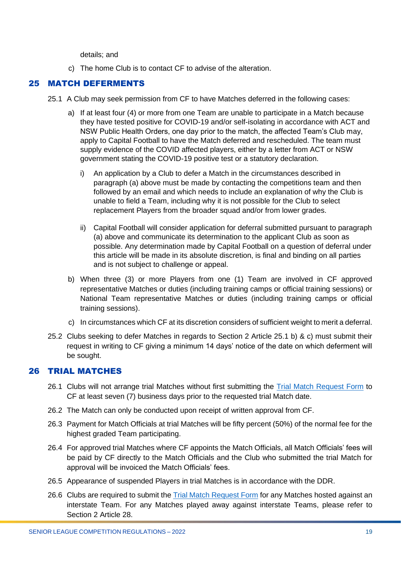details; and

c) The home Club is to contact CF to advise of the alteration.

# <span id="page-18-0"></span>25 MATCH DEFERMENTS

- 25.1 A Club may seek permission from CF to have Matches deferred in the following cases:
	- a) If at least four (4) or more from one Team are unable to participate in a Match because they have tested positive for COVID-19 and/or self-isolating in accordance with ACT and NSW Public Health Orders, one day prior to the match, the affected Team's Club may, apply to Capital Football to have the Match deferred and rescheduled. The team must supply evidence of the COVID affected players, either by a letter from ACT or NSW government stating the COVID-19 positive test or a statutory declaration.
		- i) An application by a Club to defer a Match in the circumstances described in paragraph (a) above must be made by contacting the competitions team and then followed by an email and which needs to include an explanation of why the Club is unable to field a Team, including why it is not possible for the Club to select replacement Players from the broader squad and/or from lower grades.
		- ii) Capital Football will consider application for deferral submitted pursuant to paragraph (a) above and communicate its determination to the applicant Club as soon as possible. Any determination made by Capital Football on a question of deferral under this article will be made in its absolute discretion, is final and binding on all parties and is not subject to challenge or appeal.
	- b) When three (3) or more Players from one (1) Team are involved in CF approved representative Matches or duties (including training camps or official training sessions) or National Team representative Matches or duties (including training camps or official training sessions).
	- c) In circumstances which CF at its discretion considers of sufficient weight to merit a deferral.
- 25.2 Clubs seeking to defer Matches in regards to Section 2 Article 25.1 b) & c) must submit their request in writing to CF giving a minimum 14 days' notice of the date on which deferment will be sought.

# <span id="page-18-1"></span>26 TRIAL MATCHES

- 26.1 Clubs will not arrange trial Matches without first submitting the [Trial Match Request Form](https://form.jotform.com/213108757613859) to CF at least seven (7) business days prior to the requested trial Match date.
- 26.2 The Match can only be conducted upon receipt of written approval from CF.
- 26.3 Payment for Match Officials at trial Matches will be fifty percent (50%) of the normal fee for the highest graded Team participating.
- 26.4 For approved trial Matches where CF appoints the Match Officials, all Match Officials' fees will be paid by CF directly to the Match Officials and the Club who submitted the trial Match for approval will be invoiced the Match Officials' fees.
- 26.5 Appearance of suspended Players in trial Matches is in accordance with the DDR.
- 26.6 Clubs are required to submit the [Trial Match Request Form](https://form.jotform.com/213108757613859) for any Matches hosted against an interstate Team. For any Matches played away against interstate Teams, please refer to Section 2 Article 28.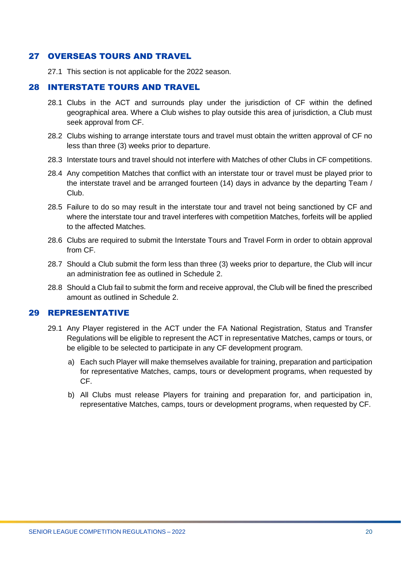#### <span id="page-19-0"></span>27 OVERSEAS TOURS AND TRAVEL

27.1 This section is not applicable for the 2022 season.

#### <span id="page-19-1"></span>28 INTERSTATE TOURS AND TRAVEL

- 28.1 Clubs in the ACT and surrounds play under the jurisdiction of CF within the defined geographical area. Where a Club wishes to play outside this area of jurisdiction, a Club must seek approval from CF.
- 28.2 Clubs wishing to arrange interstate tours and travel must obtain the written approval of CF no less than three (3) weeks prior to departure.
- 28.3 Interstate tours and travel should not interfere with Matches of other Clubs in CF competitions.
- 28.4 Any competition Matches that conflict with an interstate tour or travel must be played prior to the interstate travel and be arranged fourteen (14) days in advance by the departing Team / Club.
- 28.5 Failure to do so may result in the interstate tour and travel not being sanctioned by CF and where the interstate tour and travel interferes with competition Matches, forfeits will be applied to the affected Matches.
- 28.6 Clubs are required to submit the Interstate Tours and Travel Form in order to obtain approval from CF.
- 28.7 Should a Club submit the form less than three (3) weeks prior to departure, the Club will incur an administration fee as outlined in Schedule 2.
- 28.8 Should a Club fail to submit the form and receive approval, the Club will be fined the prescribed amount as outlined in Schedule 2.

#### <span id="page-19-2"></span>29 REPRESENTATIVE

- 29.1 Any Player registered in the ACT under the FA National Registration, Status and Transfer Regulations will be eligible to represent the ACT in representative Matches, camps or tours, or be eligible to be selected to participate in any CF development program.
	- a) Each such Player will make themselves available for training, preparation and participation for representative Matches, camps, tours or development programs, when requested by CF.
	- b) All Clubs must release Players for training and preparation for, and participation in, representative Matches, camps, tours or development programs, when requested by CF.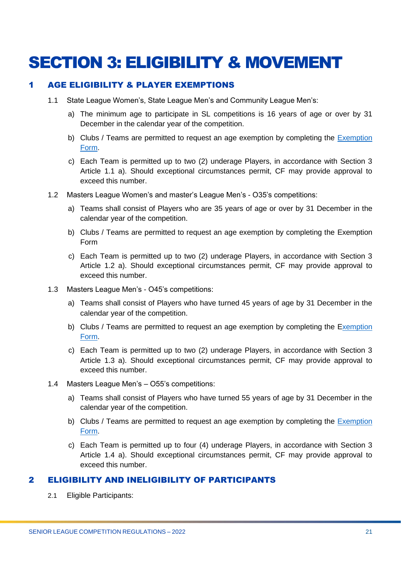# <span id="page-20-0"></span>SECTION 3: ELIGIBILITY & MOVEMENT

#### <span id="page-20-1"></span>1 AGE ELIGIBILITY & PLAYER EXEMPTIONS

- 1.1 State League Women's, State League Men's and Community League Men's:
	- a) The minimum age to participate in SL competitions is 16 years of age or over by 31 December in the calendar year of the competition.
	- b) Clubs / Teams are permitted to request an age exemption by completing the [Exemption](https://form.jotform.com/220606735381858)  [Form.](https://form.jotform.com/220606735381858)
	- c) Each Team is permitted up to two (2) underage Players, in accordance with Section 3 Article 1.1 a). Should exceptional circumstances permit, CF may provide approval to exceed this number.
- 1.2 Masters League Women's and master's League Men's O35's competitions:
	- a) Teams shall consist of Players who are 35 years of age or over by 31 December in the calendar year of the competition.
	- b) Clubs / Teams are permitted to request an age exemption by completing the Exemption Form
	- c) Each Team is permitted up to two (2) underage Players, in accordance with Section 3 Article 1.2 a). Should exceptional circumstances permit, CF may provide approval to exceed this number.
- 1.3 Masters League Men's O45's competitions:
	- a) Teams shall consist of Players who have turned 45 years of age by 31 December in the calendar year of the competition.
	- b) Clubs / Teams are permitted to request an age exemption by completing the Exemption [Form.](https://form.jotform.com/220606735381858)
	- c) Each Team is permitted up to two (2) underage Players, in accordance with Section 3 Article 1.3 a). Should exceptional circumstances permit, CF may provide approval to exceed this number.
- 1.4 Masters League Men's O55's competitions:
	- a) Teams shall consist of Players who have turned 55 years of age by 31 December in the calendar year of the competition.
	- b) Clubs / Teams are permitted to request an age exemption by completing the Exemption [Form.](https://form.jotform.com/220606735381858)
	- c) Each Team is permitted up to four (4) underage Players, in accordance with Section 3 Article 1.4 a). Should exceptional circumstances permit, CF may provide approval to exceed this number.

#### <span id="page-20-2"></span>2 ELIGIBILITY AND INELIGIBILITY OF PARTICIPANTS

2.1 Eligible Participants: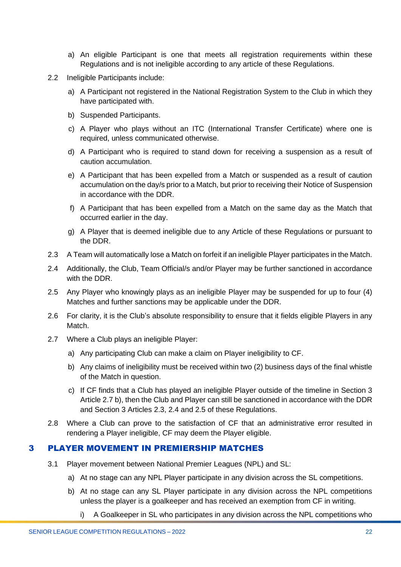- a) An eligible Participant is one that meets all registration requirements within these Regulations and is not ineligible according to any article of these Regulations.
- 2.2 Ineligible Participants include:
	- a) A Participant not registered in the National Registration System to the Club in which they have participated with.
	- b) Suspended Participants.
	- c) A Player who plays without an ITC (International Transfer Certificate) where one is required, unless communicated otherwise.
	- d) A Participant who is required to stand down for receiving a suspension as a result of caution accumulation.
	- e) A Participant that has been expelled from a Match or suspended as a result of caution accumulation on the day/s prior to a Match, but prior to receiving their Notice of Suspension in accordance with the DDR.
	- f) A Participant that has been expelled from a Match on the same day as the Match that occurred earlier in the day.
	- g) A Player that is deemed ineligible due to any Article of these Regulations or pursuant to the DDR.
- 2.3 A Team will automatically lose a Match on forfeit if an ineligible Player participates in the Match.
- 2.4 Additionally, the Club, Team Official/s and/or Player may be further sanctioned in accordance with the DDR.
- 2.5 Any Player who knowingly plays as an ineligible Player may be suspended for up to four (4) Matches and further sanctions may be applicable under the DDR.
- 2.6 For clarity, it is the Club's absolute responsibility to ensure that it fields eligible Players in any Match.
- 2.7 Where a Club plays an ineligible Player:
	- a) Any participating Club can make a claim on Player ineligibility to CF.
	- b) Any claims of ineligibility must be received within two (2) business days of the final whistle of the Match in question.
	- c) If CF finds that a Club has played an ineligible Player outside of the timeline in Section 3 Article 2.7 b), then the Club and Player can still be sanctioned in accordance with the DDR and Section 3 Articles 2.3, 2.4 and 2.5 of these Regulations.
- 2.8 Where a Club can prove to the satisfaction of CF that an administrative error resulted in rendering a Player ineligible, CF may deem the Player eligible.

#### <span id="page-21-0"></span>3 PLAYER MOVEMENT IN PREMIERSHIP MATCHES

- 3.1 Player movement between National Premier Leagues (NPL) and SL:
	- a) At no stage can any NPL Player participate in any division across the SL competitions.
	- b) At no stage can any SL Player participate in any division across the NPL competitions unless the player is a goalkeeper and has received an exemption from CF in writing.
		- i) A Goalkeeper in SL who participates in any division across the NPL competitions who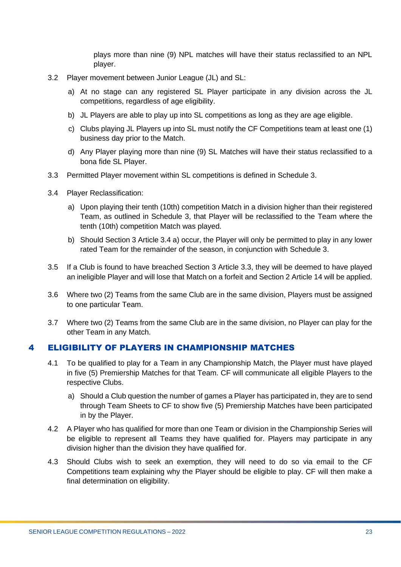plays more than nine (9) NPL matches will have their status reclassified to an NPL player.

- 3.2 Player movement between Junior League (JL) and SL:
	- a) At no stage can any registered SL Player participate in any division across the JL competitions, regardless of age eligibility.
	- b) JL Players are able to play up into SL competitions as long as they are age eligible.
	- c) Clubs playing JL Players up into SL must notify the CF Competitions team at least one (1) business day prior to the Match.
	- d) Any Player playing more than nine (9) SL Matches will have their status reclassified to a bona fide SL Player.
- 3.3 Permitted Player movement within SL competitions is defined in Schedule 3.
- 3.4 Player Reclassification:
	- a) Upon playing their tenth (10th) competition Match in a division higher than their registered Team, as outlined in Schedule 3, that Player will be reclassified to the Team where the tenth (10th) competition Match was played.
	- b) Should Section 3 Article 3.4 a) occur, the Player will only be permitted to play in any lower rated Team for the remainder of the season, in conjunction with Schedule 3.
- 3.5 If a Club is found to have breached Section 3 Article 3.3, they will be deemed to have played an ineligible Player and will lose that Match on a forfeit and Section 2 Article 14 will be applied.
- 3.6 Where two (2) Teams from the same Club are in the same division, Players must be assigned to one particular Team.
- 3.7 Where two (2) Teams from the same Club are in the same division, no Player can play for the other Team in any Match.

#### <span id="page-22-0"></span>4 ELIGIBILITY OF PLAYERS IN CHAMPIONSHIP MATCHES

- 4.1 To be qualified to play for a Team in any Championship Match, the Player must have played in five (5) Premiership Matches for that Team. CF will communicate all eligible Players to the respective Clubs.
	- a) Should a Club question the number of games a Player has participated in, they are to send through Team Sheets to CF to show five (5) Premiership Matches have been participated in by the Player.
- 4.2 A Player who has qualified for more than one Team or division in the Championship Series will be eligible to represent all Teams they have qualified for. Players may participate in any division higher than the division they have qualified for.
- 4.3 Should Clubs wish to seek an exemption, they will need to do so via email to the CF Competitions team explaining why the Player should be eligible to play. CF will then make a final determination on eligibility.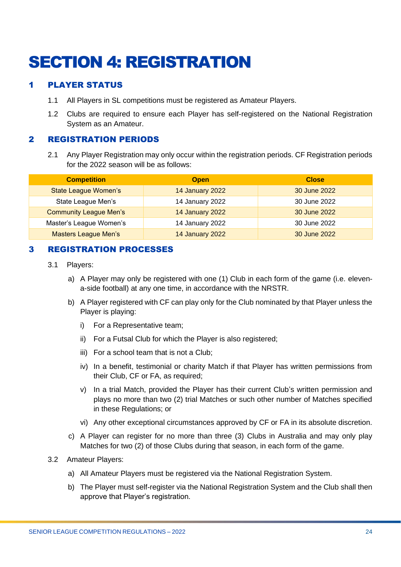# <span id="page-23-0"></span>SECTION 4: REGISTRATION

# <span id="page-23-1"></span>1 PLAYER STATUS

- 1.1 All Players in SL competitions must be registered as Amateur Players.
- 1.2 Clubs are required to ensure each Player has self-registered on the National Registration System as an Amateur.

#### <span id="page-23-2"></span>2 REGISTRATION PERIODS

2.1 Any Player Registration may only occur within the registration periods. CF Registration periods for the 2022 season will be as follows:

| <b>Competition</b>            | <b>Open</b>     | <b>Close</b> |
|-------------------------------|-----------------|--------------|
| <b>State League Women's</b>   | 14 January 2022 | 30 June 2022 |
| State League Men's            | 14 January 2022 | 30 June 2022 |
| <b>Community League Men's</b> | 14 January 2022 | 30 June 2022 |
| Master's League Women's       | 14 January 2022 | 30 June 2022 |
| <b>Masters League Men's</b>   | 14 January 2022 | 30 June 2022 |

#### <span id="page-23-3"></span>3 REGISTRATION PROCESSES

- 3.1 Players:
	- a) A Player may only be registered with one (1) Club in each form of the game (i.e. elevena-side football) at any one time, in accordance with the NRSTR.
	- b) A Player registered with CF can play only for the Club nominated by that Player unless the Player is playing:
		- i) For a Representative team;
		- ii) For a Futsal Club for which the Player is also registered;
		- iii) For a school team that is not a Club;
		- iv) In a benefit, testimonial or charity Match if that Player has written permissions from their Club, CF or FA, as required;
		- v) In a trial Match, provided the Player has their current Club's written permission and plays no more than two (2) trial Matches or such other number of Matches specified in these Regulations; or
		- vi) Any other exceptional circumstances approved by CF or FA in its absolute discretion.
	- c) A Player can register for no more than three (3) Clubs in Australia and may only play Matches for two (2) of those Clubs during that season, in each form of the game.
- 3.2 Amateur Players:
	- a) All Amateur Players must be registered via the National Registration System.
	- b) The Player must self-register via the National Registration System and the Club shall then approve that Player's registration.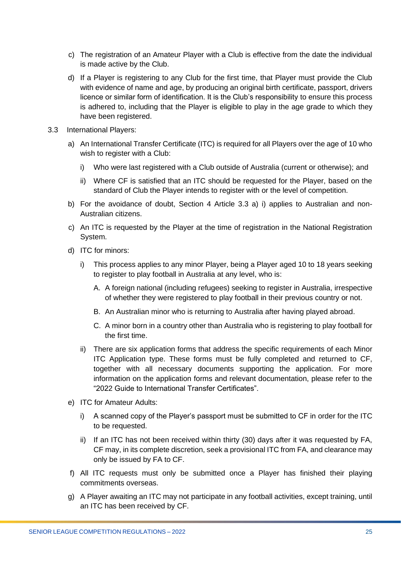- c) The registration of an Amateur Player with a Club is effective from the date the individual is made active by the Club.
- d) If a Player is registering to any Club for the first time, that Player must provide the Club with evidence of name and age, by producing an original birth certificate, passport, drivers licence or similar form of identification. It is the Club's responsibility to ensure this process is adhered to, including that the Player is eligible to play in the age grade to which they have been registered.
- 3.3 International Players:
	- a) An International Transfer Certificate (ITC) is required for all Players over the age of 10 who wish to register with a Club:
		- i) Who were last registered with a Club outside of Australia (current or otherwise); and
		- ii) Where CF is satisfied that an ITC should be requested for the Player, based on the standard of Club the Player intends to register with or the level of competition.
	- b) For the avoidance of doubt, Section 4 Article 3.3 a) i) applies to Australian and non-Australian citizens.
	- c) An ITC is requested by the Player at the time of registration in the National Registration System.
	- d) ITC for minors:
		- i) This process applies to any minor Player, being a Player aged 10 to 18 years seeking to register to play football in Australia at any level, who is:
			- A. A foreign national (including refugees) seeking to register in Australia, irrespective of whether they were registered to play football in their previous country or not.
			- B. An Australian minor who is returning to Australia after having played abroad.
			- C. A minor born in a country other than Australia who is registering to play football for the first time.
		- ii) There are six application forms that address the specific requirements of each Minor ITC Application type. These forms must be fully completed and returned to CF, together with all necessary documents supporting the application. For more information on the application forms and relevant documentation, please refer to the "2022 Guide to International Transfer Certificates".
	- e) ITC for Amateur Adults:
		- i) A scanned copy of the Player's passport must be submitted to CF in order for the ITC to be requested.
		- ii) If an ITC has not been received within thirty (30) days after it was requested by FA, CF may, in its complete discretion, seek a provisional ITC from FA, and clearance may only be issued by FA to CF.
	- f) All ITC requests must only be submitted once a Player has finished their playing commitments overseas.
	- g) A Player awaiting an ITC may not participate in any football activities, except training, until an ITC has been received by CF.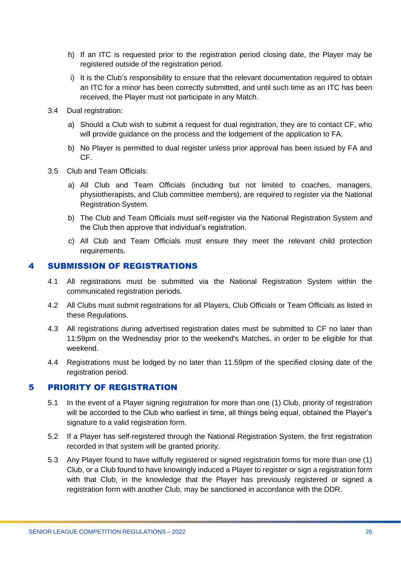- h) If an ITC is requested prior to the registration period closing date, the Player may be registered outside of the registration period.
- i) It is the Club's responsibility to ensure that the relevant documentation required to obtain an ITC for a minor has been correctly submitted, and until such time as an ITC has been received, the Player must not participate in any Match.
- 3.4 Dual registration:
	- a) Should a Club wish to submit a request for dual registration, they are to contact CF, who will provide guidance on the process and the lodgement of the application to FA.
	- b) No Player is permitted to dual register unless prior approval has been issued by FA and CF.
- 3.5 Club and Team Officials:
	- a) All Club and Team Officials (including but not limited to coaches, managers, physiotherapists, and Club committee members), are required to register via the National Registration System.
	- b) The Club and Team Officials must self-register via the National Registration System and the Club then approve that individual's registration.
	- c) All Club and Team Officials must ensure they meet the relevant child protection requirements.

#### <span id="page-25-0"></span>4 SUBMISSION OF REGISTRATIONS

- 4.1 All registrations must be submitted via the National Registration System within the communicated registration periods.
- 4.2 All Clubs must submit registrations for all Players, Club Officials or Team Officials as listed in these Regulations.
- 4.3 All registrations during advertised registration dates must be submitted to CF no later than 11:59pm on the Wednesday prior to the weekend's Matches, in order to be eligible for that weekend.
- 4.4 Registrations must be lodged by no later than 11.59pm of the specified closing date of the registration period.

#### <span id="page-25-1"></span>5 PRIORITY OF REGISTRATION

- 5.1 In the event of a Player signing registration for more than one (1) Club, priority of registration will be accorded to the Club who earliest in time, all things being equal, obtained the Player's signature to a valid registration form.
- 5.2 If a Player has self-registered through the National Registration System, the first registration recorded in that system will be granted priority.
- 5.3 Any Player found to have wilfully registered or signed registration forms for more than one (1) Club, or a Club found to have knowingly induced a Player to register or sign a registration form with that Club, in the knowledge that the Player has previously registered or signed a registration form with another Club, may be sanctioned in accordance with the DDR.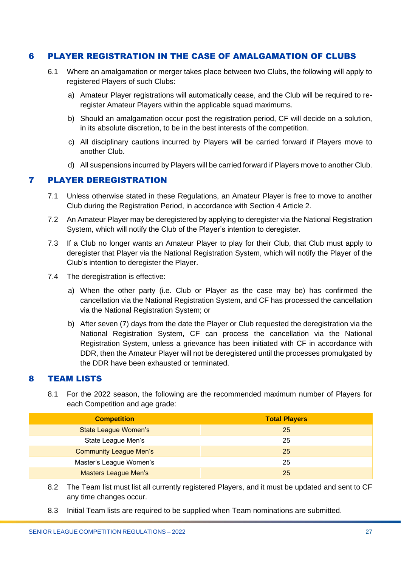#### <span id="page-26-0"></span>6 PLAYER REGISTRATION IN THE CASE OF AMALGAMATION OF CLUBS

- 6.1 Where an amalgamation or merger takes place between two Clubs, the following will apply to registered Players of such Clubs:
	- a) Amateur Player registrations will automatically cease, and the Club will be required to reregister Amateur Players within the applicable squad maximums.
	- b) Should an amalgamation occur post the registration period, CF will decide on a solution, in its absolute discretion, to be in the best interests of the competition.
	- c) All disciplinary cautions incurred by Players will be carried forward if Players move to another Club.
	- d) All suspensions incurred by Players will be carried forward if Players move to another Club.

#### <span id="page-26-1"></span>7 PLAYER DEREGISTRATION

- 7.1 Unless otherwise stated in these Regulations, an Amateur Player is free to move to another Club during the Registration Period, in accordance with Section 4 Article 2.
- 7.2 An Amateur Player may be deregistered by applying to deregister via the National Registration System, which will notify the Club of the Player's intention to deregister.
- 7.3 If a Club no longer wants an Amateur Player to play for their Club, that Club must apply to deregister that Player via the National Registration System, which will notify the Player of the Club's intention to deregister the Player.
- 7.4 The deregistration is effective:
	- a) When the other party (i.e. Club or Player as the case may be) has confirmed the cancellation via the National Registration System, and CF has processed the cancellation via the National Registration System; or
	- b) After seven (7) days from the date the Player or Club requested the deregistration via the National Registration System, CF can process the cancellation via the National Registration System, unless a grievance has been initiated with CF in accordance with DDR, then the Amateur Player will not be deregistered until the processes promulgated by the DDR have been exhausted or terminated.

#### <span id="page-26-2"></span>8 TEAM LISTS

8.1 For the 2022 season, the following are the recommended maximum number of Players for each Competition and age grade:

| <b>Competition</b>            | <b>Total Players</b> |
|-------------------------------|----------------------|
| <b>State League Women's</b>   | 25                   |
| State League Men's            | 25                   |
| <b>Community League Men's</b> | 25                   |
| Master's League Women's       | 25                   |
| <b>Masters League Men's</b>   | 25                   |

- 8.2 The Team list must list all currently registered Players, and it must be updated and sent to CF any time changes occur.
- 8.3 Initial Team lists are required to be supplied when Team nominations are submitted.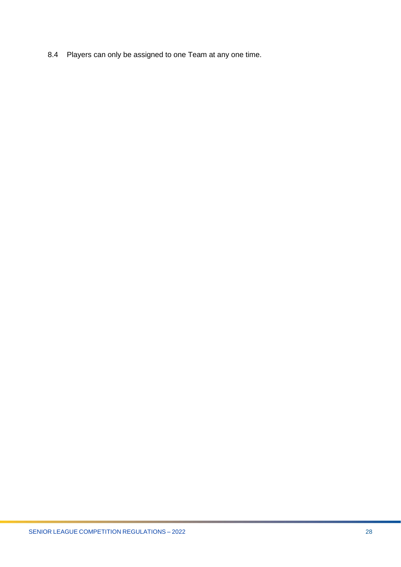8.4 Players can only be assigned to one Team at any one time.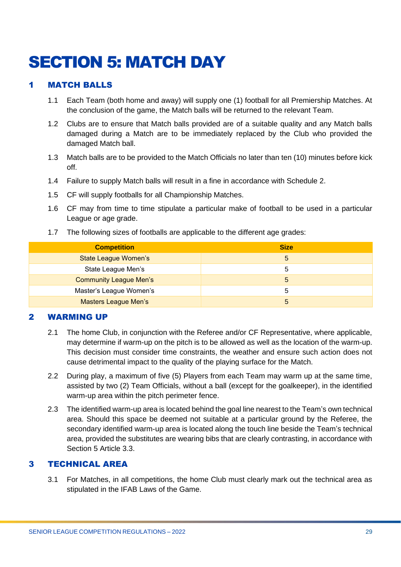# <span id="page-28-0"></span>SECTION 5: MATCH DAY

# <span id="page-28-1"></span>1 MATCH BALLS

- 1.1 Each Team (both home and away) will supply one (1) football for all Premiership Matches. At the conclusion of the game, the Match balls will be returned to the relevant Team.
- 1.2 Clubs are to ensure that Match balls provided are of a suitable quality and any Match balls damaged during a Match are to be immediately replaced by the Club who provided the damaged Match ball.
- 1.3 Match balls are to be provided to the Match Officials no later than ten (10) minutes before kick off.
- 1.4 Failure to supply Match balls will result in a fine in accordance with Schedule 2.
- 1.5 CF will supply footballs for all Championship Matches.
- 1.6 CF may from time to time stipulate a particular make of football to be used in a particular League or age grade.
- 1.7 The following sizes of footballs are applicable to the different age grades:

| <b>Competition</b>            | <b>Size</b> |
|-------------------------------|-------------|
| <b>State League Women's</b>   | 5           |
| State League Men's            |             |
| <b>Community League Men's</b> | b           |
| Master's League Women's       |             |
| <b>Masters League Men's</b>   | 5           |

#### <span id="page-28-2"></span>2 WARMING UP

- 2.1 The home Club, in conjunction with the Referee and/or CF Representative, where applicable, may determine if warm-up on the pitch is to be allowed as well as the location of the warm-up. This decision must consider time constraints, the weather and ensure such action does not cause detrimental impact to the quality of the playing surface for the Match.
- 2.2 During play, a maximum of five (5) Players from each Team may warm up at the same time, assisted by two (2) Team Officials, without a ball (except for the goalkeeper), in the identified warm-up area within the pitch perimeter fence.
- 2.3 The identified warm-up area is located behind the goal line nearest to the Team's own technical area. Should this space be deemed not suitable at a particular ground by the Referee, the secondary identified warm-up area is located along the touch line beside the Team's technical area, provided the substitutes are wearing bibs that are clearly contrasting, in accordance with Section 5 Article 3.3.

### <span id="page-28-3"></span>3 TECHNICAL AREA

3.1 For Matches, in all competitions, the home Club must clearly mark out the technical area as stipulated in the IFAB Laws of the Game.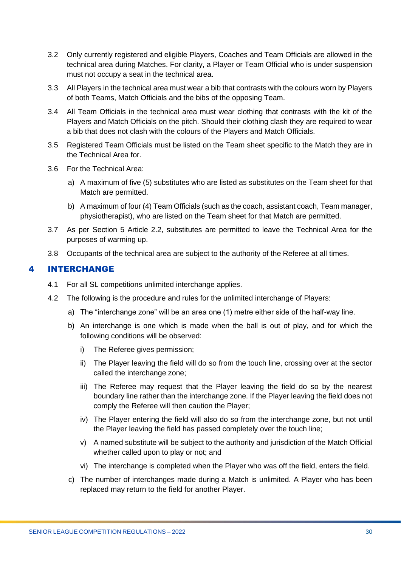- 3.2 Only currently registered and eligible Players, Coaches and Team Officials are allowed in the technical area during Matches. For clarity, a Player or Team Official who is under suspension must not occupy a seat in the technical area.
- 3.3 All Players in the technical area must wear a bib that contrasts with the colours worn by Players of both Teams, Match Officials and the bibs of the opposing Team.
- 3.4 All Team Officials in the technical area must wear clothing that contrasts with the kit of the Players and Match Officials on the pitch. Should their clothing clash they are required to wear a bib that does not clash with the colours of the Players and Match Officials.
- 3.5 Registered Team Officials must be listed on the Team sheet specific to the Match they are in the Technical Area for.
- 3.6 For the Technical Area:
	- a) A maximum of five (5) substitutes who are listed as substitutes on the Team sheet for that Match are permitted.
	- b) A maximum of four (4) Team Officials (such as the coach, assistant coach, Team manager, physiotherapist), who are listed on the Team sheet for that Match are permitted.
- 3.7 As per Section 5 Article 2.2, substitutes are permitted to leave the Technical Area for the purposes of warming up.
- 3.8 Occupants of the technical area are subject to the authority of the Referee at all times.

# <span id="page-29-0"></span>4 INTERCHANGE

- 4.1 For all SL competitions unlimited interchange applies.
- 4.2 The following is the procedure and rules for the unlimited interchange of Players:
	- a) The "interchange zone" will be an area one (1) metre either side of the half-way line.
	- b) An interchange is one which is made when the ball is out of play, and for which the following conditions will be observed:
		- i) The Referee gives permission;
		- ii) The Player leaving the field will do so from the touch line, crossing over at the sector called the interchange zone;
		- iii) The Referee may request that the Player leaving the field do so by the nearest boundary line rather than the interchange zone. If the Player leaving the field does not comply the Referee will then caution the Player;
		- iv) The Player entering the field will also do so from the interchange zone, but not until the Player leaving the field has passed completely over the touch line;
		- v) A named substitute will be subject to the authority and jurisdiction of the Match Official whether called upon to play or not; and
		- vi) The interchange is completed when the Player who was off the field, enters the field.
	- c) The number of interchanges made during a Match is unlimited. A Player who has been replaced may return to the field for another Player.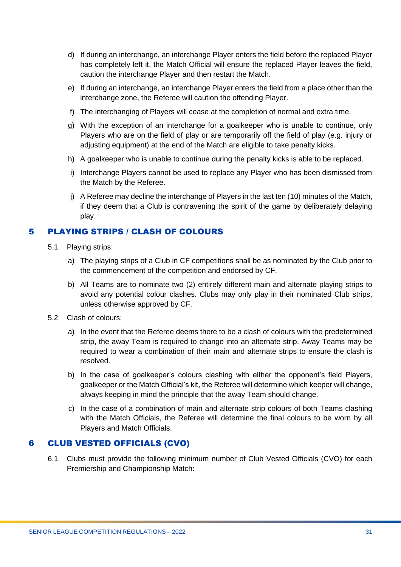- d) If during an interchange, an interchange Player enters the field before the replaced Player has completely left it, the Match Official will ensure the replaced Player leaves the field, caution the interchange Player and then restart the Match.
- e) If during an interchange, an interchange Player enters the field from a place other than the interchange zone, the Referee will caution the offending Player.
- f) The interchanging of Players will cease at the completion of normal and extra time.
- g) With the exception of an interchange for a goalkeeper who is unable to continue, only Players who are on the field of play or are temporarily off the field of play (e.g. injury or adjusting equipment) at the end of the Match are eligible to take penalty kicks.
- h) A goalkeeper who is unable to continue during the penalty kicks is able to be replaced.
- i) Interchange Players cannot be used to replace any Player who has been dismissed from the Match by the Referee.
- j) A Referee may decline the interchange of Players in the last ten (10) minutes of the Match, if they deem that a Club is contravening the spirit of the game by deliberately delaying play.

# <span id="page-30-0"></span>5 PLAYING STRIPS / CLASH OF COLOURS

- 5.1 Playing strips:
	- a) The playing strips of a Club in CF competitions shall be as nominated by the Club prior to the commencement of the competition and endorsed by CF.
	- b) All Teams are to nominate two (2) entirely different main and alternate playing strips to avoid any potential colour clashes. Clubs may only play in their nominated Club strips, unless otherwise approved by CF.
- 5.2 Clash of colours:
	- a) In the event that the Referee deems there to be a clash of colours with the predetermined strip, the away Team is required to change into an alternate strip. Away Teams may be required to wear a combination of their main and alternate strips to ensure the clash is resolved.
	- b) In the case of goalkeeper's colours clashing with either the opponent's field Players, goalkeeper or the Match Official's kit, the Referee will determine which keeper will change, always keeping in mind the principle that the away Team should change.
	- c) In the case of a combination of main and alternate strip colours of both Teams clashing with the Match Officials, the Referee will determine the final colours to be worn by all Players and Match Officials.

#### <span id="page-30-1"></span>6 CLUB VESTED OFFICIALS (CVO)

6.1 Clubs must provide the following minimum number of Club Vested Officials (CVO) for each Premiership and Championship Match: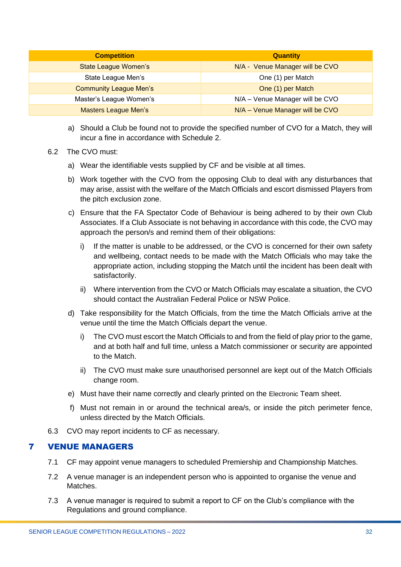| <b>Competition</b>            | <b>Quantity</b>                 |
|-------------------------------|---------------------------------|
| <b>State League Women's</b>   | N/A - Venue Manager will be CVO |
| State League Men's            | One (1) per Match               |
| <b>Community League Men's</b> | One (1) per Match               |
| Master's League Women's       | N/A - Venue Manager will be CVO |
| <b>Masters League Men's</b>   | N/A - Venue Manager will be CVO |

- a) Should a Club be found not to provide the specified number of CVO for a Match, they will incur a fine in accordance with Schedule 2.
- 6.2 The CVO must:
	- a) Wear the identifiable vests supplied by CF and be visible at all times.
	- b) Work together with the CVO from the opposing Club to deal with any disturbances that may arise, assist with the welfare of the Match Officials and escort dismissed Players from the pitch exclusion zone.
	- c) Ensure that the FA Spectator Code of Behaviour is being adhered to by their own Club Associates. If a Club Associate is not behaving in accordance with this code, the CVO may approach the person/s and remind them of their obligations:
		- i) If the matter is unable to be addressed, or the CVO is concerned for their own safety and wellbeing, contact needs to be made with the Match Officials who may take the appropriate action, including stopping the Match until the incident has been dealt with satisfactorily.
		- ii) Where intervention from the CVO or Match Officials may escalate a situation, the CVO should contact the Australian Federal Police or NSW Police.
	- d) Take responsibility for the Match Officials, from the time the Match Officials arrive at the venue until the time the Match Officials depart the venue.
		- i) The CVO must escort the Match Officials to and from the field of play prior to the game, and at both half and full time, unless a Match commissioner or security are appointed to the Match.
		- ii) The CVO must make sure unauthorised personnel are kept out of the Match Officials change room.
	- e) Must have their name correctly and clearly printed on the Electronic Team sheet.
	- f) Must not remain in or around the technical area/s, or inside the pitch perimeter fence, unless directed by the Match Officials.
- 6.3 CVO may report incidents to CF as necessary.

#### <span id="page-31-0"></span>7 VENUE MANAGERS

- 7.1 CF may appoint venue managers to scheduled Premiership and Championship Matches.
- 7.2 A venue manager is an independent person who is appointed to organise the venue and Matches.
- 7.3 A venue manager is required to submit a report to CF on the Club's compliance with the Regulations and ground compliance.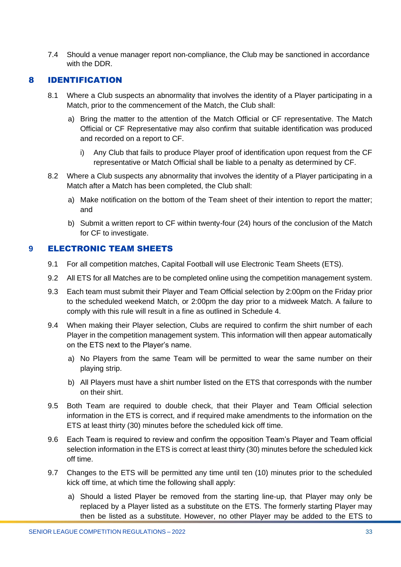7.4 Should a venue manager report non-compliance, the Club may be sanctioned in accordance with the DDR.

#### <span id="page-32-0"></span>8 IDENTIFICATION

- 8.1 Where a Club suspects an abnormality that involves the identity of a Player participating in a Match, prior to the commencement of the Match, the Club shall:
	- a) Bring the matter to the attention of the Match Official or CF representative. The Match Official or CF Representative may also confirm that suitable identification was produced and recorded on a report to CF.
		- i) Any Club that fails to produce Player proof of identification upon request from the CF representative or Match Official shall be liable to a penalty as determined by CF.
- 8.2 Where a Club suspects any abnormality that involves the identity of a Player participating in a Match after a Match has been completed, the Club shall:
	- a) Make notification on the bottom of the Team sheet of their intention to report the matter; and
	- b) Submit a written report to CF within twenty-four (24) hours of the conclusion of the Match for CF to investigate.

# <span id="page-32-1"></span>**9 ELECTRONIC TEAM SHEETS**

- 9.1 For all competition matches, Capital Football will use Electronic Team Sheets (ETS).
- 9.2 All ETS for all Matches are to be completed online using the competition management system.
- 9.3 Each team must submit their Player and Team Official selection by 2:00pm on the Friday prior to the scheduled weekend Match, or 2:00pm the day prior to a midweek Match. A failure to comply with this rule will result in a fine as outlined in Schedule 4.
- 9.4 When making their Player selection, Clubs are required to confirm the shirt number of each Player in the competition management system. This information will then appear automatically on the ETS next to the Player's name.
	- a) No Players from the same Team will be permitted to wear the same number on their playing strip.
	- b) All Players must have a shirt number listed on the ETS that corresponds with the number on their shirt.
- 9.5 Both Team are required to double check, that their Player and Team Official selection information in the ETS is correct, and if required make amendments to the information on the ETS at least thirty (30) minutes before the scheduled kick off time.
- 9.6 Each Team is required to review and confirm the opposition Team's Player and Team official selection information in the ETS is correct at least thirty (30) minutes before the scheduled kick off time.
- 9.7 Changes to the ETS will be permitted any time until ten (10) minutes prior to the scheduled kick off time, at which time the following shall apply:
	- a) Should a listed Player be removed from the starting line-up, that Player may only be replaced by a Player listed as a substitute on the ETS. The formerly starting Player may then be listed as a substitute. However, no other Player may be added to the ETS to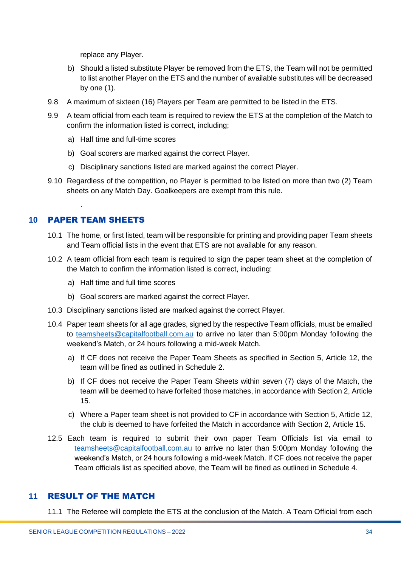replace any Player.

- b) Should a listed substitute Player be removed from the ETS, the Team will not be permitted to list another Player on the ETS and the number of available substitutes will be decreased by one (1).
- 9.8 A maximum of sixteen (16) Players per Team are permitted to be listed in the ETS.
- 9.9 A team official from each team is required to review the ETS at the completion of the Match to confirm the information listed is correct, including;
	- a) Half time and full-time scores
	- b) Goal scorers are marked against the correct Player.
	- c) Disciplinary sanctions listed are marked against the correct Player.
- 9.10 Regardless of the competition, no Player is permitted to be listed on more than two (2) Team sheets on any Match Day. Goalkeepers are exempt from this rule.

# <span id="page-33-0"></span>**10** PAPER TEAM SHEETS

.

- 10.1 The home, or first listed, team will be responsible for printing and providing paper Team sheets and Team official lists in the event that ETS are not available for any reason.
- 10.2 A team official from each team is required to sign the paper team sheet at the completion of the Match to confirm the information listed is correct, including:
	- a) Half time and full time scores
	- b) Goal scorers are marked against the correct Player.
- 10.3 Disciplinary sanctions listed are marked against the correct Player.
- 10.4 Paper team sheets for all age grades, signed by the respective Team officials, must be emailed to [teamsheets@capitalfootball.com.au](mailto:teamsheets@capitalfootball.com.au) to arrive no later than 5:00pm Monday following the weekend's Match, or 24 hours following a mid-week Match.
	- a) If CF does not receive the Paper Team Sheets as specified in Section 5, Article 12, the team will be fined as outlined in Schedule 2.
	- b) If CF does not receive the Paper Team Sheets within seven (7) days of the Match, the team will be deemed to have forfeited those matches, in accordance with Section 2, Article 15.
	- c) Where a Paper team sheet is not provided to CF in accordance with Section 5, Article 12, the club is deemed to have forfeited the Match in accordance with Section 2, Article 15.
- 12.5 Each team is required to submit their own paper Team Officials list via email to [teamsheets@capitalfootball.com.au](mailto:teamsheets@capitalfootball.com.au) to arrive no later than 5:00pm Monday following the weekend's Match, or 24 hours following a mid-week Match. If CF does not receive the paper Team officials list as specified above, the Team will be fined as outlined in Schedule 4.

#### <span id="page-33-1"></span>**11** RESULT OF THE MATCH

11.1 The Referee will complete the ETS at the conclusion of the Match. A Team Official from each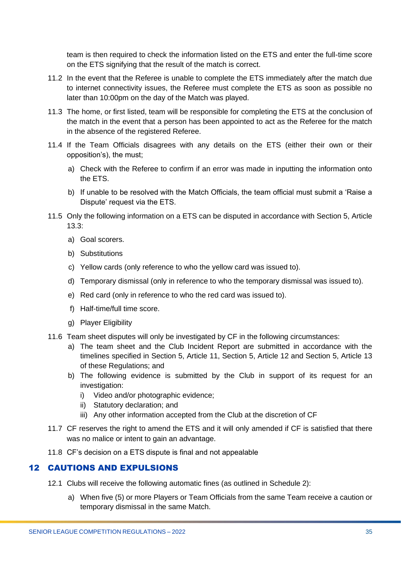team is then required to check the information listed on the ETS and enter the full-time score on the ETS signifying that the result of the match is correct.

- 11.2 In the event that the Referee is unable to complete the ETS immediately after the match due to internet connectivity issues, the Referee must complete the ETS as soon as possible no later than 10:00pm on the day of the Match was played.
- 11.3 The home, or first listed, team will be responsible for completing the ETS at the conclusion of the match in the event that a person has been appointed to act as the Referee for the match in the absence of the registered Referee.
- 11.4 If the Team Officials disagrees with any details on the ETS (either their own or their opposition's), the must;
	- a) Check with the Referee to confirm if an error was made in inputting the information onto the ETS.
	- b) If unable to be resolved with the Match Officials, the team official must submit a 'Raise a Dispute' request via the ETS.
- 11.5 Only the following information on a ETS can be disputed in accordance with Section 5, Article 13.3:
	- a) Goal scorers.
	- b) Substitutions
	- c) Yellow cards (only reference to who the yellow card was issued to).
	- d) Temporary dismissal (only in reference to who the temporary dismissal was issued to).
	- e) Red card (only in reference to who the red card was issued to).
	- f) Half-time/full time score.
	- g) Player Eligibility
- 11.6 Team sheet disputes will only be investigated by CF in the following circumstances:
	- a) The team sheet and the Club Incident Report are submitted in accordance with the timelines specified in Section 5, Article 11, Section 5, Article 12 and Section 5, Article 13 of these Regulations; and
	- b) The following evidence is submitted by the Club in support of its request for an investigation:
		- i) Video and/or photographic evidence;
		- ii) Statutory declaration; and
		- iii) Any other information accepted from the Club at the discretion of CF
- 11.7 CF reserves the right to amend the ETS and it will only amended if CF is satisfied that there was no malice or intent to gain an advantage.
- 11.8 CF's decision on a ETS dispute is final and not appealable

# <span id="page-34-0"></span><sup>12</sup> CAUTIONS AND EXPULSIONS

- 12.1 Clubs will receive the following automatic fines (as outlined in Schedule 2):
	- a) When five (5) or more Players or Team Officials from the same Team receive a caution or temporary dismissal in the same Match.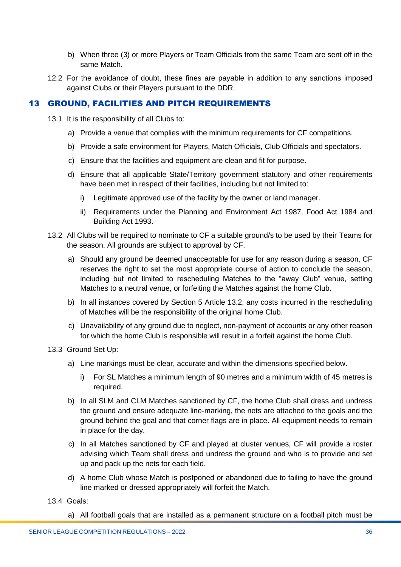- b) When three (3) or more Players or Team Officials from the same Team are sent off in the same Match.
- 12.2 For the avoidance of doubt, these fines are payable in addition to any sanctions imposed against Clubs or their Players pursuant to the DDR.

#### <span id="page-35-0"></span>13 GROUND, FACILITIES AND PITCH REQUIREMENTS

- 13.1 It is the responsibility of all Clubs to:
	- a) Provide a venue that complies with the minimum requirements for CF competitions.
	- b) Provide a safe environment for Players, Match Officials, Club Officials and spectators.
	- c) Ensure that the facilities and equipment are clean and fit for purpose.
	- d) Ensure that all applicable State/Territory government statutory and other requirements have been met in respect of their facilities, including but not limited to:
		- i) Legitimate approved use of the facility by the owner or land manager.
		- ii) Requirements under the Planning and Environment Act 1987, Food Act 1984 and Building Act 1993.
- 13.2 All Clubs will be required to nominate to CF a suitable ground/s to be used by their Teams for the season. All grounds are subject to approval by CF.
	- a) Should any ground be deemed unacceptable for use for any reason during a season, CF reserves the right to set the most appropriate course of action to conclude the season, including but not limited to rescheduling Matches to the "away Club" venue, setting Matches to a neutral venue, or forfeiting the Matches against the home Club.
	- b) In all instances covered by Section 5 Article 13.2, any costs incurred in the rescheduling of Matches will be the responsibility of the original home Club.
	- c) Unavailability of any ground due to neglect, non-payment of accounts or any other reason for which the home Club is responsible will result in a forfeit against the home Club.
- 13.3 Ground Set Up:
	- a) Line markings must be clear, accurate and within the dimensions specified below.
		- i) For SL Matches a minimum length of 90 metres and a minimum width of 45 metres is required.
	- b) In all SLM and CLM Matches sanctioned by CF, the home Club shall dress and undress the ground and ensure adequate line-marking, the nets are attached to the goals and the ground behind the goal and that corner flags are in place. All equipment needs to remain in place for the day.
	- c) In all Matches sanctioned by CF and played at cluster venues, CF will provide a roster advising which Team shall dress and undress the ground and who is to provide and set up and pack up the nets for each field.
	- d) A home Club whose Match is postponed or abandoned due to failing to have the ground line marked or dressed appropriately will forfeit the Match.
- 13.4 Goals:
	- a) All football goals that are installed as a permanent structure on a football pitch must be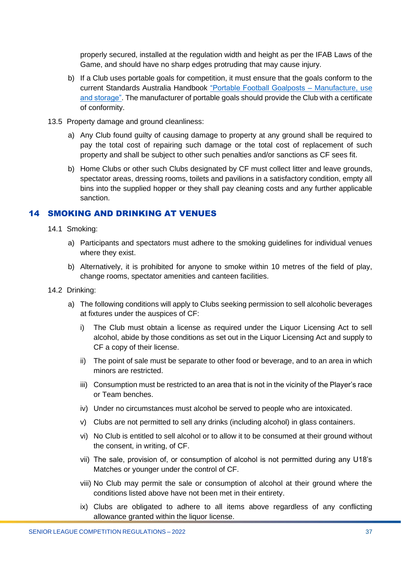properly secured, installed at the regulation width and height as per the IFAB Laws of the Game, and should have no sharp edges protruding that may cause injury.

- b) If a Club uses portable goals for competition, it must ensure that the goals conform to the current Standards Australia Handbook ["Portable Football Goalposts –](https://www.saiglobal.com/PDFTemp/CustomizedDownload/hb227-2003.pdf) Manufacture, use [and storage".](https://www.saiglobal.com/PDFTemp/CustomizedDownload/hb227-2003.pdf) The manufacturer of portable goals should provide the Club with a certificate of conformity.
- 13.5 Property damage and ground cleanliness:
	- a) Any Club found guilty of causing damage to property at any ground shall be required to pay the total cost of repairing such damage or the total cost of replacement of such property and shall be subject to other such penalties and/or sanctions as CF sees fit.
	- b) Home Clubs or other such Clubs designated by CF must collect litter and leave grounds, spectator areas, dressing rooms, toilets and pavilions in a satisfactory condition, empty all bins into the supplied hopper or they shall pay cleaning costs and any further applicable sanction.

# <span id="page-36-0"></span>14 SMOKING AND DRINKING AT VENUES

- 14.1 Smoking:
	- a) Participants and spectators must adhere to the smoking guidelines for individual venues where they exist.
	- b) Alternatively, it is prohibited for anyone to smoke within 10 metres of the field of play, change rooms, spectator amenities and canteen facilities.
- 14.2 Drinking:
	- a) The following conditions will apply to Clubs seeking permission to sell alcoholic beverages at fixtures under the auspices of CF:
		- i) The Club must obtain a license as required under the Liquor Licensing Act to sell alcohol, abide by those conditions as set out in the Liquor Licensing Act and supply to CF a copy of their license.
		- ii) The point of sale must be separate to other food or beverage, and to an area in which minors are restricted.
		- iii) Consumption must be restricted to an area that is not in the vicinity of the Player's race or Team benches.
		- iv) Under no circumstances must alcohol be served to people who are intoxicated.
		- v) Clubs are not permitted to sell any drinks (including alcohol) in glass containers.
		- vi) No Club is entitled to sell alcohol or to allow it to be consumed at their ground without the consent, in writing, of CF.
		- vii) The sale, provision of, or consumption of alcohol is not permitted during any U18's Matches or younger under the control of CF.
		- viii) No Club may permit the sale or consumption of alcohol at their ground where the conditions listed above have not been met in their entirety.
		- ix) Clubs are obligated to adhere to all items above regardless of any conflicting allowance granted within the liquor license.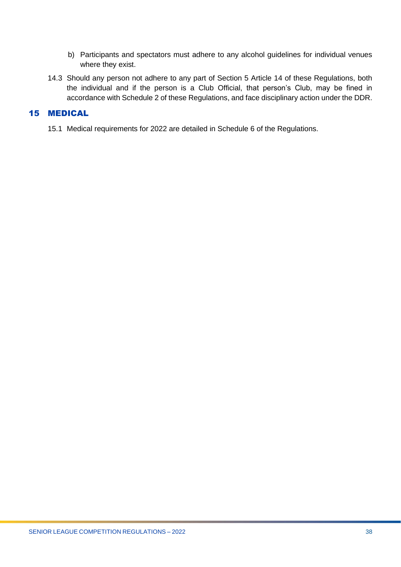- b) Participants and spectators must adhere to any alcohol guidelines for individual venues where they exist.
- 14.3 Should any person not adhere to any part of Section 5 Article 14 of these Regulations, both the individual and if the person is a Club Official, that person's Club, may be fined in accordance with Schedule 2 of these Regulations, and face disciplinary action under the DDR.

# <span id="page-37-0"></span>15 MEDICAL

15.1 Medical requirements for 2022 are detailed in Schedule 6 of the Regulations.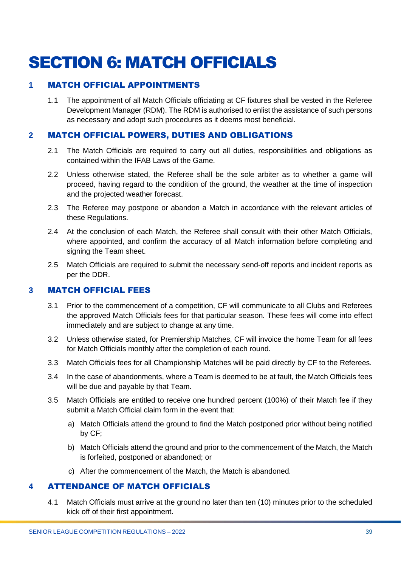# <span id="page-38-0"></span>SECTION 6: MATCH OFFICIALS

# <span id="page-38-1"></span>**1** MATCH OFFICIAL APPOINTMENTS

1.1 The appointment of all Match Officials officiating at CF fixtures shall be vested in the Referee Development Manager (RDM). The RDM is authorised to enlist the assistance of such persons as necessary and adopt such procedures as it deems most beneficial.

# <span id="page-38-2"></span>**2** MATCH OFFICIAL POWERS, DUTIES AND OBLIGATIONS

- 2.1 The Match Officials are required to carry out all duties, responsibilities and obligations as contained within the IFAB Laws of the Game.
- 2.2 Unless otherwise stated, the Referee shall be the sole arbiter as to whether a game will proceed, having regard to the condition of the ground, the weather at the time of inspection and the projected weather forecast.
- 2.3 The Referee may postpone or abandon a Match in accordance with the relevant articles of these Regulations.
- 2.4 At the conclusion of each Match, the Referee shall consult with their other Match Officials, where appointed, and confirm the accuracy of all Match information before completing and signing the Team sheet.
- 2.5 Match Officials are required to submit the necessary send-off reports and incident reports as per the DDR.

#### <span id="page-38-3"></span>**3** MATCH OFFICIAL FEES

- 3.1 Prior to the commencement of a competition, CF will communicate to all Clubs and Referees the approved Match Officials fees for that particular season. These fees will come into effect immediately and are subject to change at any time.
- 3.2 Unless otherwise stated, for Premiership Matches, CF will invoice the home Team for all fees for Match Officials monthly after the completion of each round.
- 3.3 Match Officials fees for all Championship Matches will be paid directly by CF to the Referees.
- 3.4 In the case of abandonments, where a Team is deemed to be at fault, the Match Officials fees will be due and payable by that Team.
- 3.5 Match Officials are entitled to receive one hundred percent (100%) of their Match fee if they submit a Match Official claim form in the event that:
	- a) Match Officials attend the ground to find the Match postponed prior without being notified by CF;
	- b) Match Officials attend the ground and prior to the commencement of the Match, the Match is forfeited, postponed or abandoned; or
	- c) After the commencement of the Match, the Match is abandoned.

#### <span id="page-38-4"></span>**4** ATTENDANCE OF MATCH OFFICIALS

4.1 Match Officials must arrive at the ground no later than ten (10) minutes prior to the scheduled kick off of their first appointment.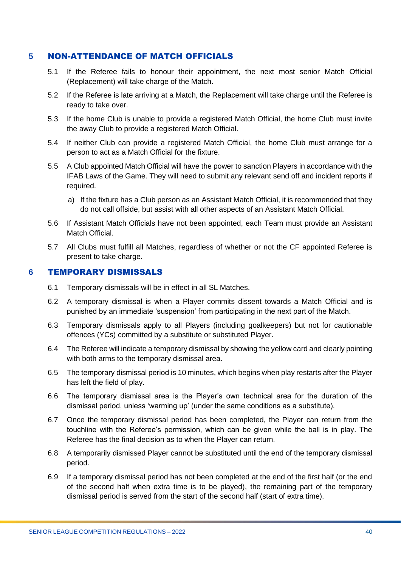#### <span id="page-39-0"></span>**5** NON-ATTENDANCE OF MATCH OFFICIALS

- 5.1 If the Referee fails to honour their appointment, the next most senior Match Official (Replacement) will take charge of the Match.
- 5.2 If the Referee is late arriving at a Match, the Replacement will take charge until the Referee is ready to take over.
- 5.3 If the home Club is unable to provide a registered Match Official, the home Club must invite the away Club to provide a registered Match Official.
- 5.4 If neither Club can provide a registered Match Official, the home Club must arrange for a person to act as a Match Official for the fixture.
- 5.5 A Club appointed Match Official will have the power to sanction Players in accordance with the IFAB Laws of the Game. They will need to submit any relevant send off and incident reports if required.
	- a) If the fixture has a Club person as an Assistant Match Official, it is recommended that they do not call offside, but assist with all other aspects of an Assistant Match Official.
- 5.6 If Assistant Match Officials have not been appointed, each Team must provide an Assistant Match Official.
- 5.7 All Clubs must fulfill all Matches, regardless of whether or not the CF appointed Referee is present to take charge.

#### <span id="page-39-1"></span>**6** TEMPORARY DISMISSALS

- 6.1 Temporary dismissals will be in effect in all SL Matches.
- 6.2 A temporary dismissal is when a Player commits dissent towards a Match Official and is punished by an immediate 'suspension' from participating in the next part of the Match.
- 6.3 Temporary dismissals apply to all Players (including goalkeepers) but not for cautionable offences (YCs) committed by a substitute or substituted Player.
- 6.4 The Referee will indicate a temporary dismissal by showing the yellow card and clearly pointing with both arms to the temporary dismissal area.
- 6.5 The temporary dismissal period is 10 minutes, which begins when play restarts after the Player has left the field of play.
- 6.6 The temporary dismissal area is the Player's own technical area for the duration of the dismissal period, unless 'warming up' (under the same conditions as a substitute).
- 6.7 Once the temporary dismissal period has been completed, the Player can return from the touchline with the Referee's permission, which can be given while the ball is in play. The Referee has the final decision as to when the Player can return.
- 6.8 A temporarily dismissed Player cannot be substituted until the end of the temporary dismissal period.
- 6.9 If a temporary dismissal period has not been completed at the end of the first half (or the end of the second half when extra time is to be played), the remaining part of the temporary dismissal period is served from the start of the second half (start of extra time).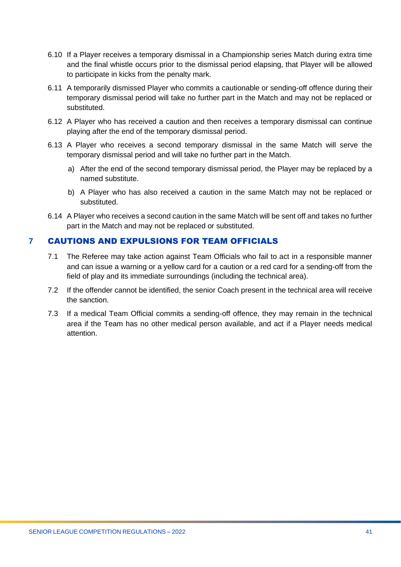- 6.10 If a Player receives a temporary dismissal in a Championship series Match during extra time and the final whistle occurs prior to the dismissal period elapsing, that Player will be allowed to participate in kicks from the penalty mark.
- 6.11 A temporarily dismissed Player who commits a cautionable or sending-off offence during their temporary dismissal period will take no further part in the Match and may not be replaced or substituted.
- 6.12 A Player who has received a caution and then receives a temporary dismissal can continue playing after the end of the temporary dismissal period.
- 6.13 A Player who receives a second temporary dismissal in the same Match will serve the temporary dismissal period and will take no further part in the Match.
	- a) After the end of the second temporary dismissal period, the Player may be replaced by a named substitute.
	- b) A Player who has also received a caution in the same Match may not be replaced or substituted.
- 6.14 A Player who receives a second caution in the same Match will be sent off and takes no further part in the Match and may not be replaced or substituted.

# <span id="page-40-0"></span>**7** CAUTIONS AND EXPULSIONS FOR TEAM OFFICIALS

- 7.1 The Referee may take action against Team Officials who fail to act in a responsible manner and can issue a warning or a yellow card for a caution or a red card for a sending-off from the field of play and its immediate surroundings (including the technical area).
- 7.2 If the offender cannot be identified, the senior Coach present in the technical area will receive the sanction.
- 7.3 If a medical Team Official commits a sending-off offence, they may remain in the technical area if the Team has no other medical person available, and act if a Player needs medical attention.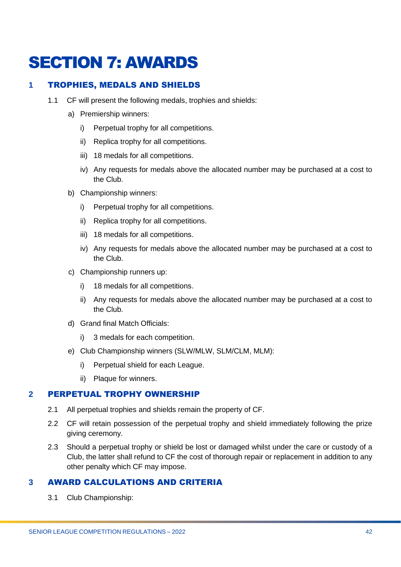# <span id="page-41-0"></span>SECTION 7: AWARDS

# <span id="page-41-1"></span>**1** TROPHIES, MEDALS AND SHIELDS

- 1.1 CF will present the following medals, trophies and shields:
	- a) Premiership winners:
		- i) Perpetual trophy for all competitions.
		- ii) Replica trophy for all competitions.
		- iii) 18 medals for all competitions.
		- iv) Any requests for medals above the allocated number may be purchased at a cost to the Club.
	- b) Championship winners:
		- i) Perpetual trophy for all competitions.
		- ii) Replica trophy for all competitions.
		- iii) 18 medals for all competitions.
		- iv) Any requests for medals above the allocated number may be purchased at a cost to the Club.
	- c) Championship runners up:
		- i) 18 medals for all competitions.
		- ii) Any requests for medals above the allocated number may be purchased at a cost to the Club.
	- d) Grand final Match Officials:
		- i) 3 medals for each competition.
	- e) Club Championship winners (SLW/MLW, SLM/CLM, MLM):
		- i) Perpetual shield for each League.
		- ii) Plaque for winners.

#### <span id="page-41-2"></span>**2** PERPETUAL TROPHY OWNERSHIP

- 2.1 All perpetual trophies and shields remain the property of CF.
- 2.2 CF will retain possession of the perpetual trophy and shield immediately following the prize giving ceremony.
- 2.3 Should a perpetual trophy or shield be lost or damaged whilst under the care or custody of a Club, the latter shall refund to CF the cost of thorough repair or replacement in addition to any other penalty which CF may impose.

# <span id="page-41-3"></span>**3** AWARD CALCULATIONS AND CRITERIA

3.1 Club Championship: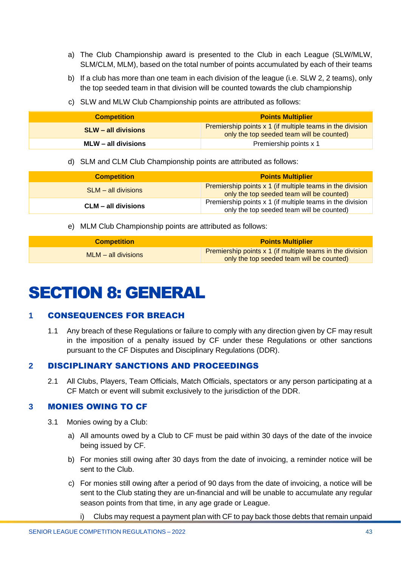- a) The Club Championship award is presented to the Club in each League (SLW/MLW, SLM/CLM, MLM), based on the total number of points accumulated by each of their teams
- b) If a club has more than one team in each division of the league (i.e. SLW 2, 2 teams), only the top seeded team in that division will be counted towards the club championship
- c) SLW and MLW Club Championship points are attributed as follows:

| <b>Competition</b>         | <b>Points Multiplier</b>                                                                               |
|----------------------------|--------------------------------------------------------------------------------------------------------|
| <b>SLW</b> – all divisions | Premiership points x 1 (if multiple teams in the division<br>only the top seeded team will be counted) |
| $MLW - all divisions$      | Premiership points x 1                                                                                 |

d) SLM and CLM Club Championship points are attributed as follows:

| <b>Competition</b>    | <b>Points Multiplier</b>                                                                               |
|-----------------------|--------------------------------------------------------------------------------------------------------|
| $SLM - all divisions$ | Premiership points x 1 (if multiple teams in the division<br>only the top seeded team will be counted) |
| CLM – all divisions   | Premiership points x 1 (if multiple teams in the division<br>only the top seeded team will be counted) |

e) MLM Club Championship points are attributed as follows:

| <b>Competition</b>    | <b>Points Multiplier</b>                                                                               |  |  |
|-----------------------|--------------------------------------------------------------------------------------------------------|--|--|
| $MLM - all divisions$ | Premiership points x 1 (if multiple teams in the division<br>only the top seeded team will be counted) |  |  |

# <span id="page-42-0"></span>SECTION 8: GENERAL

# <span id="page-42-1"></span>**1** CONSEQUENCES FOR BREACH

1.1 Any breach of these Regulations or failure to comply with any direction given by CF may result in the imposition of a penalty issued by CF under these Regulations or other sanctions pursuant to the CF Disputes and Disciplinary Regulations (DDR).

# <span id="page-42-2"></span>**2** DISCIPLINARY SANCTIONS AND PROCEEDINGS

2.1 All Clubs, Players, Team Officials, Match Officials, spectators or any person participating at a CF Match or event will submit exclusively to the jurisdiction of the DDR.

#### <span id="page-42-3"></span>**3** MONIES OWING TO CF

- 3.1 Monies owing by a Club:
	- a) All amounts owed by a Club to CF must be paid within 30 days of the date of the invoice being issued by CF.
	- b) For monies still owing after 30 days from the date of invoicing, a reminder notice will be sent to the Club.
	- c) For monies still owing after a period of 90 days from the date of invoicing, a notice will be sent to the Club stating they are un-financial and will be unable to accumulate any regular season points from that time, in any age grade or League.
		- i) Clubs may request a payment plan with CF to pay back those debts that remain unpaid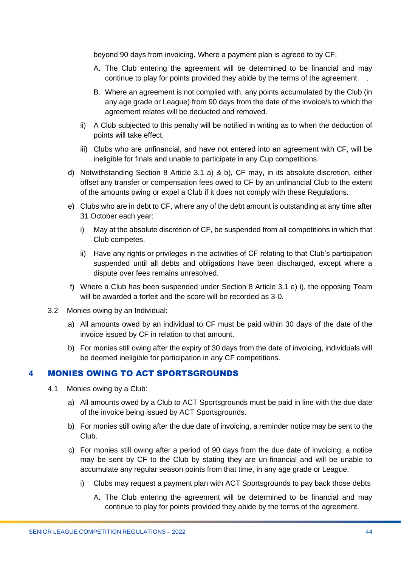beyond 90 days from invoicing. Where a payment plan is agreed to by CF:

- A. The Club entering the agreement will be determined to be financial and may continue to play for points provided they abide by the terms of the agreement .
- B. Where an agreement is not complied with, any points accumulated by the Club (in any age grade or League) from 90 days from the date of the invoice/s to which the agreement relates will be deducted and removed.
- ii) A Club subjected to this penalty will be notified in writing as to when the deduction of points will take effect.
- iii) Clubs who are unfinancial, and have not entered into an agreement with CF, will be ineligible for finals and unable to participate in any Cup competitions.
- d) Notwithstanding Section 8 Article 3.1 a) & b), CF may, in its absolute discretion, either offset any transfer or compensation fees owed to CF by an unfinancial Club to the extent of the amounts owing or expel a Club if it does not comply with these Regulations.
- e) Clubs who are in debt to CF, where any of the debt amount is outstanding at any time after 31 October each year:
	- i) May at the absolute discretion of CF, be suspended from all competitions in which that Club competes.
	- ii) Have any rights or privileges in the activities of CF relating to that Club's participation suspended until all debts and obligations have been discharged, except where a dispute over fees remains unresolved.
- f) Where a Club has been suspended under Section 8 Article 3.1 e) i), the opposing Team will be awarded a forfeit and the score will be recorded as 3-0.
- 3.2 Monies owing by an Individual:
	- a) All amounts owed by an individual to CF must be paid within 30 days of the date of the invoice issued by CF in relation to that amount.
	- b) For monies still owing after the expiry of 30 days from the date of invoicing, individuals will be deemed ineligible for participation in any CF competitions.

#### <span id="page-43-0"></span>**4** MONIES OWING TO ACT SPORTSGROUNDS

- 4.1 Monies owing by a Club:
	- a) All amounts owed by a Club to ACT Sportsgrounds must be paid in line with the due date of the invoice being issued by ACT Sportsgrounds.
	- b) For monies still owing after the due date of invoicing, a reminder notice may be sent to the Club.
	- c) For monies still owing after a period of 90 days from the due date of invoicing, a notice may be sent by CF to the Club by stating they are un-financial and will be unable to accumulate any regular season points from that time, in any age grade or League.
		- i) Clubs may request a payment plan with ACT Sportsgrounds to pay back those debts
			- A. The Club entering the agreement will be determined to be financial and may continue to play for points provided they abide by the terms of the agreement.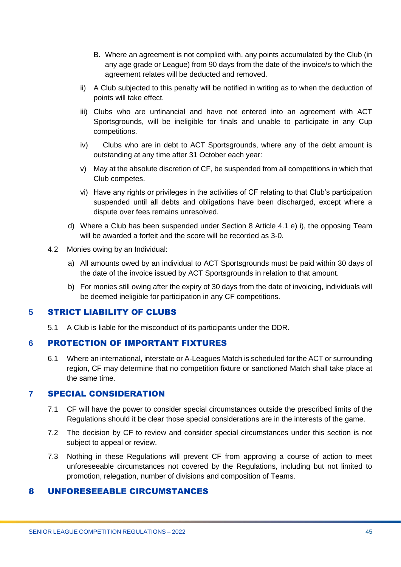- B. Where an agreement is not complied with, any points accumulated by the Club (in any age grade or League) from 90 days from the date of the invoice/s to which the agreement relates will be deducted and removed.
- ii) A Club subjected to this penalty will be notified in writing as to when the deduction of points will take effect.
- iii) Clubs who are unfinancial and have not entered into an agreement with ACT Sportsgrounds, will be ineligible for finals and unable to participate in any Cup competitions.
- iv) Clubs who are in debt to ACT Sportsgrounds, where any of the debt amount is outstanding at any time after 31 October each year:
- v) May at the absolute discretion of CF, be suspended from all competitions in which that Club competes.
- vi) Have any rights or privileges in the activities of CF relating to that Club's participation suspended until all debts and obligations have been discharged, except where a dispute over fees remains unresolved.
- d) Where a Club has been suspended under Section 8 Article 4.1 e) i), the opposing Team will be awarded a forfeit and the score will be recorded as 3-0.
- 4.2 Monies owing by an Individual:
	- a) All amounts owed by an individual to ACT Sportsgrounds must be paid within 30 days of the date of the invoice issued by ACT Sportsgrounds in relation to that amount.
	- b) For monies still owing after the expiry of 30 days from the date of invoicing, individuals will be deemed ineligible for participation in any CF competitions.

#### <span id="page-44-0"></span>**5** STRICT LIABILITY OF CLUBS

5.1 A Club is liable for the misconduct of its participants under the DDR.

#### <span id="page-44-1"></span>**6** PROTECTION OF IMPORTANT FIXTURES

6.1 Where an international, interstate or A-Leagues Match is scheduled for the ACT or surrounding region, CF may determine that no competition fixture or sanctioned Match shall take place at the same time.

#### <span id="page-44-2"></span>**7** SPECIAL CONSIDERATION

- 7.1 CF will have the power to consider special circumstances outside the prescribed limits of the Regulations should it be clear those special considerations are in the interests of the game.
- 7.2 The decision by CF to review and consider special circumstances under this section is not subject to appeal or review.
- 7.3 Nothing in these Regulations will prevent CF from approving a course of action to meet unforeseeable circumstances not covered by the Regulations, including but not limited to promotion, relegation, number of divisions and composition of Teams.

#### <span id="page-44-3"></span>8 UNFORESEEABLE CIRCUMSTANCES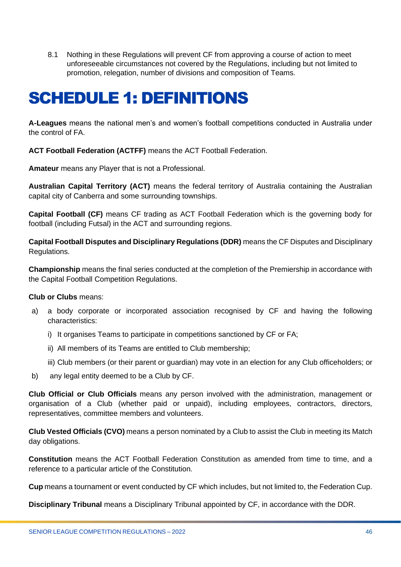8.1 Nothing in these Regulations will prevent CF from approving a course of action to meet unforeseeable circumstances not covered by the Regulations, including but not limited to promotion, relegation, number of divisions and composition of Teams.

# <span id="page-45-0"></span>SCHEDULE 1: DEFINITIONS

**A-Leagues** means the national men's and women's football competitions conducted in Australia under the control of FA.

**ACT Football Federation (ACTFF)** means the ACT Football Federation.

**Amateur** means any Player that is not a Professional.

**Australian Capital Territory (ACT)** means the federal territory of Australia containing the Australian capital city of Canberra and some surrounding townships.

**Capital Football (CF)** means CF trading as ACT Football Federation which is the governing body for football (including Futsal) in the ACT and surrounding regions.

**Capital Football Disputes and Disciplinary Regulations (DDR)** means the CF Disputes and Disciplinary Regulations.

**Championship** means the final series conducted at the completion of the Premiership in accordance with the Capital Football Competition Regulations.

**Club or Clubs** means:

- a) a body corporate or incorporated association recognised by CF and having the following characteristics:
	- i) It organises Teams to participate in competitions sanctioned by CF or FA;
	- ii) All members of its Teams are entitled to Club membership;
	- iii) Club members (or their parent or guardian) may vote in an election for any Club officeholders; or
- b) any legal entity deemed to be a Club by CF.

**Club Official or Club Officials** means any person involved with the administration, management or organisation of a Club (whether paid or unpaid), including employees, contractors, directors, representatives, committee members and volunteers.

**Club Vested Officials (CVO)** means a person nominated by a Club to assist the Club in meeting its Match day obligations.

**Constitution** means the ACT Football Federation Constitution as amended from time to time, and a reference to a particular article of the Constitution.

**Cup** means a tournament or event conducted by CF which includes, but not limited to, the Federation Cup.

**Disciplinary Tribunal** means a Disciplinary Tribunal appointed by CF, in accordance with the DDR.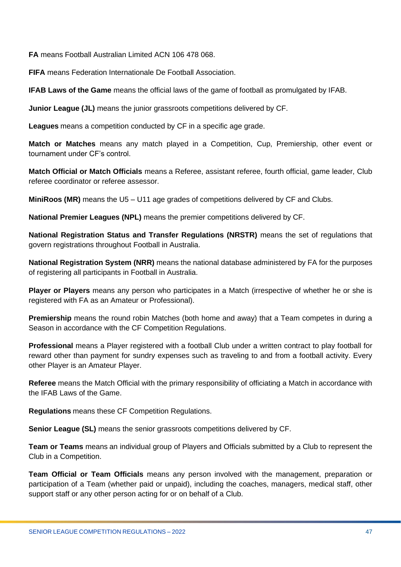**FA** means Football Australian Limited ACN 106 478 068.

**FIFA** means Federation Internationale De Football Association.

**IFAB Laws of the Game** means the official laws of the game of football as promulgated by IFAB.

**Junior League (JL)** means the junior grassroots competitions delivered by CF.

**Leagues** means a competition conducted by CF in a specific age grade.

**Match or Matches** means any match played in a Competition, Cup, Premiership, other event or tournament under CF's control.

**Match Official or Match Officials** means a Referee, assistant referee, fourth official, game leader, Club referee coordinator or referee assessor.

**MiniRoos (MR)** means the U5 – U11 age grades of competitions delivered by CF and Clubs.

**National Premier Leagues (NPL)** means the premier competitions delivered by CF.

**National Registration Status and Transfer Regulations (NRSTR)** means the set of regulations that govern registrations throughout Football in Australia.

**National Registration System (NRR)** means the national database administered by FA for the purposes of registering all participants in Football in Australia.

**Player or Players** means any person who participates in a Match (irrespective of whether he or she is registered with FA as an Amateur or Professional).

**Premiership** means the round robin Matches (both home and away) that a Team competes in during a Season in accordance with the CF Competition Regulations.

**Professional** means a Player registered with a football Club under a written contract to play football for reward other than payment for sundry expenses such as traveling to and from a football activity. Every other Player is an Amateur Player.

**Referee** means the Match Official with the primary responsibility of officiating a Match in accordance with the IFAB Laws of the Game.

**Regulations** means these CF Competition Regulations.

**Senior League (SL)** means the senior grassroots competitions delivered by CF.

**Team or Teams** means an individual group of Players and Officials submitted by a Club to represent the Club in a Competition.

**Team Official or Team Officials** means any person involved with the management, preparation or participation of a Team (whether paid or unpaid), including the coaches, managers, medical staff, other support staff or any other person acting for or on behalf of a Club.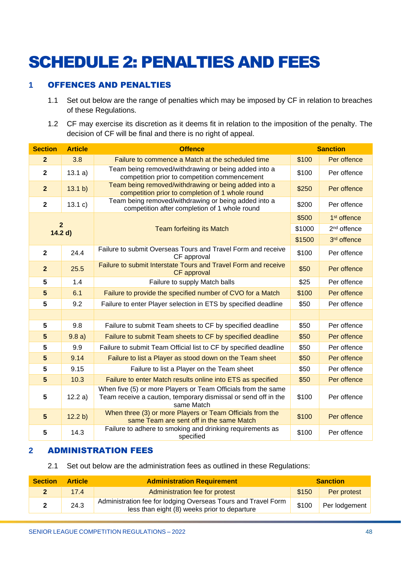# <span id="page-47-0"></span>SCHEDULE 2: PENALTIES AND FEES

# <span id="page-47-1"></span>**1** OFFENCES AND PENALTIES

- 1.1 Set out below are the range of penalties which may be imposed by CF in relation to breaches of these Regulations.
- 1.2 CF may exercise its discretion as it deems fit in relation to the imposition of the penalty. The decision of CF will be final and there is no right of appeal.

| <b>Section</b>            | <b>Article</b> | <b>Offence</b>                                                                                                                                | <b>Sanction</b> |                         |  |
|---------------------------|----------------|-----------------------------------------------------------------------------------------------------------------------------------------------|-----------------|-------------------------|--|
| $\overline{2}$            | 3.8            | Failure to commence a Match at the scheduled time                                                                                             | \$100           | Per offence             |  |
| $\mathbf{2}$              | 13.1 a)        | Team being removed/withdrawing or being added into a<br>competition prior to competition commencement                                         | \$100           | Per offence             |  |
| $\overline{2}$            | 13.1 b)        | Team being removed/withdrawing or being added into a<br>competition prior to completion of 1 whole round                                      | \$250           | Per offence             |  |
| $\mathbf{2}$              | 13.1 c)        | Team being removed/withdrawing or being added into a<br>competition after completion of 1 whole round                                         | \$200           | Per offence             |  |
| $\overline{2}$<br>14.2 d) |                |                                                                                                                                               | \$500           | 1 <sup>st</sup> offence |  |
|                           |                | <b>Team forfeiting its Match</b>                                                                                                              | \$1000          | 2 <sup>nd</sup> offence |  |
|                           |                |                                                                                                                                               | \$1500          | 3rd offence             |  |
| $\overline{\mathbf{2}}$   | 24.4           | Failure to submit Overseas Tours and Travel Form and receive<br>CF approval                                                                   | \$100           | Per offence             |  |
| $\overline{2}$            | 25.5           | Failure to submit Interstate Tours and Travel Form and receive<br>CF approval                                                                 | \$50            | Per offence             |  |
| 5                         | 1.4            | Failure to supply Match balls                                                                                                                 | \$25            | Per offence             |  |
| 5                         | 6.1            | Failure to provide the specified number of CVO for a Match                                                                                    | \$100           | Per offence             |  |
| 5                         | 9.2            | Failure to enter Player selection in ETS by specified deadline                                                                                | \$50            | Per offence             |  |
|                           |                |                                                                                                                                               |                 |                         |  |
| 5                         | 9.8            | Failure to submit Team sheets to CF by specified deadline                                                                                     | \$50            | Per offence             |  |
| 5                         | 9.8a)          | Failure to submit Team sheets to CF by specified deadline                                                                                     | \$50            | Per offence             |  |
| 5                         | 9.9            | Failure to submit Team Official list to CF by specified deadline                                                                              | \$50            | Per offence             |  |
| $5\phantom{1}$            | 9.14           | Failure to list a Player as stood down on the Team sheet                                                                                      | \$50            | Per offence             |  |
| 5                         | 9.15           | Failure to list a Player on the Team sheet                                                                                                    | \$50            | Per offence             |  |
| $5\phantom{1}$            | 10.3           | Failure to enter Match results online into ETS as specified                                                                                   | \$50            | Per offence             |  |
| $5\phantom{.0}$           | 12.2 a)        | When five (5) or more Players or Team Officials from the same<br>Team receive a caution, temporary dismissal or send off in the<br>same Match | \$100           | Per offence             |  |
| $5\phantom{1}$            | 12.2 b)        | When three (3) or more Players or Team Officials from the<br>same Team are sent off in the same Match                                         | \$100           | Per offence             |  |
| $5\phantom{1}$            | 14.3           | Failure to adhere to smoking and drinking requirements as<br>specified                                                                        | \$100           | Per offence             |  |

#### <span id="page-47-2"></span>**2** ADMINISTRATION FEES

#### 2.1 Set out below are the administration fees as outlined in these Regulations:

| <b>Section</b> | <b>Article</b> | <b>Administration Requirement</b>                                                                             | <b>Sanction</b> |               |  |
|----------------|----------------|---------------------------------------------------------------------------------------------------------------|-----------------|---------------|--|
|                | 17.4           | Administration fee for protest                                                                                | \$150           | Per protest   |  |
|                | 24.3           | Administration fee for lodging Overseas Tours and Travel Form<br>less than eight (8) weeks prior to departure | \$100           | Per lodgement |  |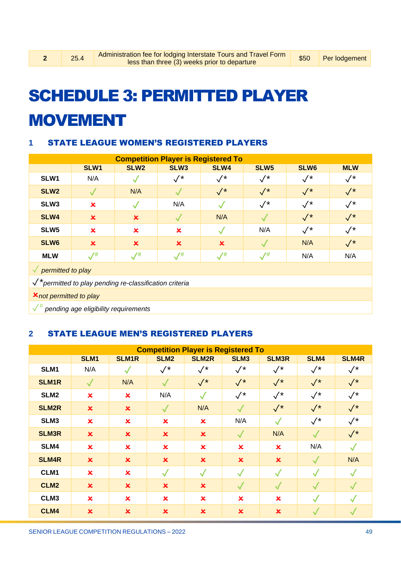# <span id="page-48-0"></span>SCHEDULE 3: PERMITTED PLAYER MOVEMENT

# <span id="page-48-1"></span>**1** STATE LEAGUE WOMEN'S REGISTERED PLAYERS

| <b>Competition Player is Registered To</b>                          |                                      |                           |                           |                    |                  |                  |                     |  |  |
|---------------------------------------------------------------------|--------------------------------------|---------------------------|---------------------------|--------------------|------------------|------------------|---------------------|--|--|
|                                                                     | SLW1                                 | SLW <sub>2</sub>          | SLW <sub>3</sub>          | SLW4               | SLW <sub>5</sub> | SLW <sub>6</sub> | <b>MLW</b>          |  |  |
| SLW1                                                                | N/A                                  |                           | $\surd\star$              | $\sqrt{*}$         | $\surd\star$     | $\sqrt{*}$       | $\surd\,{}^{\star}$ |  |  |
| SLW <sub>2</sub>                                                    |                                      | N/A                       |                           | $\sqrt{*}$         | $\sqrt{*}$       | $\sqrt{*}$       | $\sqrt{*}$          |  |  |
| SLW <sub>3</sub>                                                    | $\boldsymbol{\mathsf{x}}$            |                           | N/A                       |                    | $\sqrt{*}$       | $\sqrt{*}$       | $\sqrt{*}$          |  |  |
| SLW4                                                                | $\boldsymbol{\mathsf{x}}$            | $\boldsymbol{\mathsf{x}}$ |                           | N/A                |                  | $\sqrt{*}$       | $\sqrt{*}$          |  |  |
| SLW <sub>5</sub>                                                    | $\pmb{\times}$                       | $\mathbf x$               | $\boldsymbol{\mathsf{x}}$ |                    | N/A              | $\sqrt{*}$       | $\sqrt{*}$          |  |  |
| SLW6                                                                | $\boldsymbol{\mathsf{x}}$            | $\boldsymbol{\mathsf{x}}$ | $\mathbf x$               | $\mathbf x$        |                  | N/A              | $\sqrt{*}$          |  |  |
| <b>MLW</b>                                                          | $\mathcal{N}^{\#}$                   | $\sqrt{t}$                | $\sqrt{t}$                | $\mathcal{N}^{\#}$ | $\sqrt{t}$       | N/A              | N/A                 |  |  |
| $\sqrt{\rho}$ permitted to play                                     |                                      |                           |                           |                    |                  |                  |                     |  |  |
| $\checkmark^*$ permitted to play pending re-classification criteria |                                      |                           |                           |                    |                  |                  |                     |  |  |
|                                                                     | <b>X</b> not permitted to play       |                           |                           |                    |                  |                  |                     |  |  |
| $\sqrt{^{\#}}$                                                      | pending age eligibility requirements |                           |                           |                    |                  |                  |                     |  |  |

# <span id="page-48-2"></span>**2** STATE LEAGUE MEN'S REGISTERED PLAYERS

| <b>Competition Player is Registered To</b> |                           |                           |                           |                           |                           |                           |              |                |  |
|--------------------------------------------|---------------------------|---------------------------|---------------------------|---------------------------|---------------------------|---------------------------|--------------|----------------|--|
|                                            | SLM1                      | <b>SLM1R</b>              | SLM <sub>2</sub>          | <b>SLM2R</b>              | SLM <sub>3</sub>          | <b>SLM3R</b>              | SLM4         | <b>SLM4R</b>   |  |
| SLM1                                       | N/A                       | $\checkmark$              | $\sqrt{*}$                | $\sqrt{*}$                | $\sqrt{*}$                | $\sqrt{*}$                | $\sqrt{*}$   | $\sqrt{*}$     |  |
| <b>SLM1R</b>                               | $\sqrt{}$                 | N/A                       | $\checkmark$              | $\sqrt{*}$                | $\sqrt{*}$                | $\sqrt{*}$                | $\sqrt{*}$   | $\sqrt{*}$     |  |
| SLM <sub>2</sub>                           | $\boldsymbol{\mathsf{x}}$ | $\boldsymbol{\mathsf{x}}$ | N/A                       | $\checkmark$              | $\sqrt{*}$                | $\sqrt{*}$                | $\sqrt{*}$   | $\sqrt{*}$     |  |
| <b>SLM2R</b>                               | $\boldsymbol{\mathsf{x}}$ | $\boldsymbol{\mathsf{x}}$ | $\checkmark$              | N/A                       | $\checkmark$              | $\sqrt{*}$                | $\sqrt{*}$   | $\sqrt{*}$     |  |
| SLM3                                       | $\overline{\mathbf{x}}$   | $\mathbf x$               | $\boldsymbol{\mathsf{x}}$ | $\boldsymbol{\mathsf{x}}$ | N/A                       | $\sqrt{}$                 | $\sqrt{*}$   | $\sqrt{*}$     |  |
| <b>SLM3R</b>                               | $\boldsymbol{\mathsf{x}}$ | $\mathbf x$               | $\mathbf x$               | $\boldsymbol{\mathsf{x}}$ | $\checkmark$              | N/A                       | $\checkmark$ | $\checkmark^*$ |  |
| SLM4                                       | $\overline{\mathbf{x}}$   | $\mathbf x$               | $\mathbf x$               | $\overline{\mathbf{x}}$   | $\boldsymbol{\mathsf{x}}$ | $\boldsymbol{\mathsf{x}}$ | N/A          | $\checkmark$   |  |
| <b>SLM4R</b>                               | $\boldsymbol{\mathsf{x}}$ | $\boldsymbol{\mathsf{x}}$ | $\boldsymbol{\mathsf{x}}$ | $\boldsymbol{\mathsf{x}}$ | $\boldsymbol{\mathsf{x}}$ | $\boldsymbol{\mathsf{x}}$ | $\sqrt{}$    | N/A            |  |
| CLM1                                       | $\overline{\mathbf{x}}$   | $\mathbf x$               | $\checkmark$              | $\checkmark$              | $\checkmark$              | $\checkmark$              | $\checkmark$ | $\checkmark$   |  |
| CLM <sub>2</sub>                           | $\boldsymbol{\mathsf{x}}$ | $\boldsymbol{\mathsf{x}}$ | $\boldsymbol{\mathsf{x}}$ | $\boldsymbol{\mathsf{x}}$ | $\checkmark$              | $\sqrt{}$                 | $\checkmark$ | $\checkmark$   |  |
| CLM3                                       | $\overline{\mathbf{x}}$   | $\mathbf x$               | $\mathbf x$               | $\overline{\mathbf{x}}$   | $\mathbf x$               | $\overline{\mathbf{x}}$   | $\checkmark$ | $\checkmark$   |  |
| CLM4                                       | $\boldsymbol{\mathsf{x}}$ | $\boldsymbol{\mathsf{x}}$ | $\mathbf x$               | $\overline{\mathbf{x}}$   | $\boldsymbol{\mathsf{x}}$ | $\overline{\mathbf{x}}$   |              |                |  |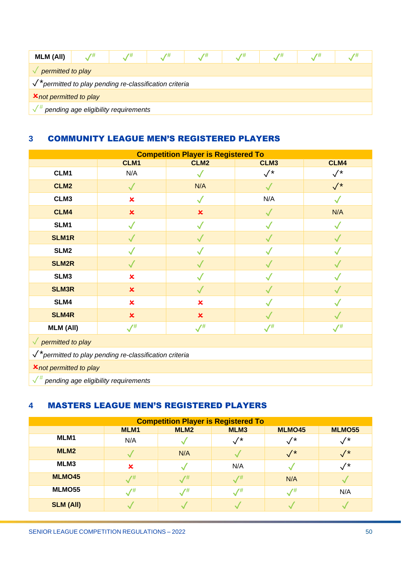| <b>MLM (All)</b>                                      |                                      | 7# | 7# |  |  |  |  |  |  |
|-------------------------------------------------------|--------------------------------------|----|----|--|--|--|--|--|--|
| permitted to play                                     |                                      |    |    |  |  |  |  |  |  |
| *permitted to play pending re-classification criteria |                                      |    |    |  |  |  |  |  |  |
| <b>X</b> not permitted to play                        |                                      |    |    |  |  |  |  |  |  |
|                                                       | pending age eligibility requirements |    |    |  |  |  |  |  |  |

# <span id="page-49-0"></span>**3** COMMUNITY LEAGUE MEN'S REGISTERED PLAYERS

| <b>Competition Player is Registered To</b>                        |                           |                           |              |                |  |  |  |  |
|-------------------------------------------------------------------|---------------------------|---------------------------|--------------|----------------|--|--|--|--|
|                                                                   | CLM1                      | CLM <sub>2</sub>          | CLM3         | CLM4           |  |  |  |  |
| CLM1                                                              | N/A                       |                           | $\sqrt{*}$   | $\checkmark^*$ |  |  |  |  |
| CLM <sub>2</sub>                                                  | $\checkmark$              | N/A                       | $\checkmark$ | $\sqrt{*}$     |  |  |  |  |
| CLM3                                                              | $\overline{\mathbf{x}}$   | $\checkmark$              | N/A          |                |  |  |  |  |
| CLM4                                                              | $\pmb{\times}$            | $\pmb{\times}$            | $\checkmark$ | N/A            |  |  |  |  |
| SLM1                                                              | $\checkmark$              | $\checkmark$              | $\sqrt{}$    | $\checkmark$   |  |  |  |  |
| <b>SLM1R</b>                                                      | $\checkmark$              | $\checkmark$              | $\checkmark$ | $\checkmark$   |  |  |  |  |
| SLM <sub>2</sub>                                                  | $\checkmark$              |                           | $\checkmark$ |                |  |  |  |  |
| <b>SLM2R</b>                                                      | $\checkmark$              | $\checkmark$              | $\checkmark$ |                |  |  |  |  |
| SLM3                                                              | $\pmb{\times}$            |                           | $\checkmark$ |                |  |  |  |  |
| <b>SLM3R</b>                                                      | $\boldsymbol{\mathsf{x}}$ | $\checkmark$              | $\checkmark$ |                |  |  |  |  |
| SLM4                                                              | $\mathbf x$               | $\pmb{\times}$            |              |                |  |  |  |  |
| <b>SLM4R</b>                                                      | $\boldsymbol{\mathsf{x}}$ | $\boldsymbol{\mathsf{x}}$ | $\checkmark$ |                |  |  |  |  |
| <b>MLM (All)</b>                                                  | $\sqrt{t}$                | $\sqrt{t}$                | $\sqrt{t}$   | $\sqrt{t}$     |  |  |  |  |
| $\sqrt{$ permitted to play                                        |                           |                           |              |                |  |  |  |  |
| $\checkmark$ permitted to play pending re-classification criteria |                           |                           |              |                |  |  |  |  |
| <b>X</b> not permitted to play                                    |                           |                           |              |                |  |  |  |  |
| $\sqrt{\frac{4}{\pi}}$ pending age eligibility requirements       |                           |                           |              |                |  |  |  |  |

# <span id="page-49-1"></span>**4** MASTERS LEAGUE MEN'S REGISTERED PLAYERS

| <b>Competition Player is Registered To</b> |                                                                  |               |             |                 |               |  |  |  |  |  |  |
|--------------------------------------------|------------------------------------------------------------------|---------------|-------------|-----------------|---------------|--|--|--|--|--|--|
|                                            | MLM <sub>2</sub><br>MLMO55<br>MLM3<br>MLMO45<br>MLM <sub>1</sub> |               |             |                 |               |  |  |  |  |  |  |
| MLM1                                       | N/A                                                              |               | $^{\prime}$ | $^{\prime}$     | $^{\prime}$   |  |  |  |  |  |  |
| MLM <sub>2</sub>                           |                                                                  | N/A           |             | $\mathcal{N}^*$ | $\frac{1}{2}$ |  |  |  |  |  |  |
| MLM3                                       | $\boldsymbol{\mathsf{x}}$                                        |               | N/A         |                 | $^{\prime}$   |  |  |  |  |  |  |
| <b>MLMO45</b>                              | $\overline{1}$                                                   | $\sqrt{t}$    | $/$ #       | N/A             |               |  |  |  |  |  |  |
| MLMO55                                     | $\sqrt{t}$                                                       | $\frac{7}{4}$ | 7#          | 7#              | N/A           |  |  |  |  |  |  |
| <b>SLM (All)</b>                           |                                                                  |               |             |                 |               |  |  |  |  |  |  |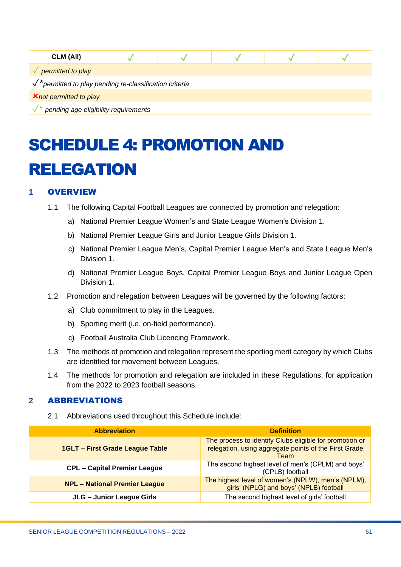| CLM (All)                                                          |  |  |  |  |  |
|--------------------------------------------------------------------|--|--|--|--|--|
| permitted to play                                                  |  |  |  |  |  |
| $\sqrt{\ }^*$ permitted to play pending re-classification criteria |  |  |  |  |  |
| <b>X</b> not permitted to play                                     |  |  |  |  |  |
| pending age eligibility requirements                               |  |  |  |  |  |

# <span id="page-50-0"></span>SCHEDULE 4: PROMOTION AND RELEGATION

# <span id="page-50-1"></span>**1** OVERVIEW

- 1.1 The following Capital Football Leagues are connected by promotion and relegation:
	- a) National Premier League Women's and State League Women's Division 1.
	- b) National Premier League Girls and Junior League Girls Division 1.
	- c) National Premier League Men's, Capital Premier League Men's and State League Men's Division 1.
	- d) National Premier League Boys, Capital Premier League Boys and Junior League Open Division 1.
- 1.2 Promotion and relegation between Leagues will be governed by the following factors:
	- a) Club commitment to play in the Leagues.
	- b) Sporting merit (i.e. on-field performance).
	- c) Football Australia Club Licencing Framework.
- 1.3 The methods of promotion and relegation represent the sporting merit category by which Clubs are identified for movement between Leagues.
- 1.4 The methods for promotion and relegation are included in these Regulations, for application from the 2022 to 2023 football seasons.

# <span id="page-50-2"></span>**2** ABBREVIATIONS

2.1 Abbreviations used throughout this Schedule include:

| <b>Abbreviation</b>                    | <b>Definition</b>                                                                                                        |  |
|----------------------------------------|--------------------------------------------------------------------------------------------------------------------------|--|
| <b>1GLT - First Grade League Table</b> | The process to identify Clubs eligible for promotion or<br>relegation, using aggregate points of the First Grade<br>Team |  |
| <b>CPL - Capital Premier League</b>    | The second highest level of men's (CPLM) and boys'<br>(CPLB) football                                                    |  |
| <b>NPL - National Premier League</b>   | The highest level of women's (NPLW), men's (NPLM),<br>girls' (NPLG) and boys' (NPLB) football                            |  |
| JLG - Junior League Girls              | The second highest level of girls' football                                                                              |  |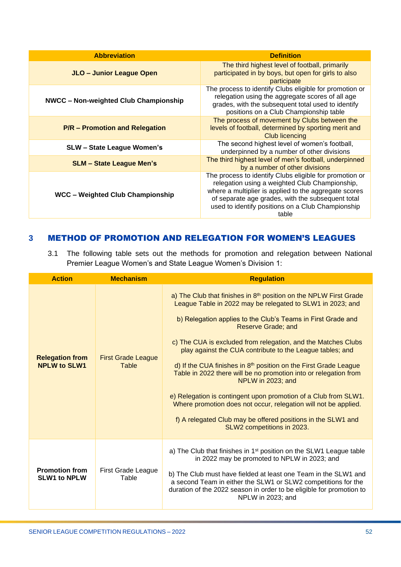| <b>Abbreviation</b>                          | <b>Definition</b>                                                                                                                                                                                                                                                                     |  |
|----------------------------------------------|---------------------------------------------------------------------------------------------------------------------------------------------------------------------------------------------------------------------------------------------------------------------------------------|--|
| JLO - Junior League Open                     | The third highest level of football, primarily<br>participated in by boys, but open for girls to also<br>participate                                                                                                                                                                  |  |
| <b>NWCC - Non-weighted Club Championship</b> | The process to identify Clubs eligible for promotion or<br>relegation using the aggregate scores of all age<br>grades, with the subsequent total used to identify<br>positions on a Club Championship table                                                                           |  |
| <b>P/R - Promotion and Relegation</b>        | The process of movement by Clubs between the<br>levels of football, determined by sporting merit and<br><b>Club licencing</b>                                                                                                                                                         |  |
| <b>SLW - State League Women's</b>            | The second highest level of women's football,<br>underpinned by a number of other divisions                                                                                                                                                                                           |  |
| <b>SLM - State League Men's</b>              | The third highest level of men's football, underpinned<br>by a number of other divisions                                                                                                                                                                                              |  |
| <b>WCC - Weighted Club Championship</b>      | The process to identify Clubs eligible for promotion or<br>relegation using a weighted Club Championship,<br>where a multiplier is applied to the aggregate scores<br>of separate age grades, with the subsequent total<br>used to identify positions on a Club Championship<br>table |  |

# <span id="page-51-0"></span>**3** METHOD OF PROMOTION AND RELEGATION FOR WOMEN'S LEAGUES

3.1 The following table sets out the methods for promotion and relegation between National Premier League Women's and State League Women's Division 1:

| <b>Action</b>                                 | <b>Mechanism</b>                   | <b>Regulation</b>                                                                                                                                                                                                                                                                                                                                                                                                                                                                                                                                                                                                                                                                                                                                                                   |  |
|-----------------------------------------------|------------------------------------|-------------------------------------------------------------------------------------------------------------------------------------------------------------------------------------------------------------------------------------------------------------------------------------------------------------------------------------------------------------------------------------------------------------------------------------------------------------------------------------------------------------------------------------------------------------------------------------------------------------------------------------------------------------------------------------------------------------------------------------------------------------------------------------|--|
| <b>Relegation from</b><br><b>NPLW to SLW1</b> | <b>First Grade League</b><br>Table | a) The Club that finishes in 8 <sup>th</sup> position on the NPLW First Grade<br>League Table in 2022 may be relegated to SLW1 in 2023; and<br>b) Relegation applies to the Club's Teams in First Grade and<br><b>Reserve Grade; and</b><br>c) The CUA is excluded from relegation, and the Matches Clubs<br>play against the CUA contribute to the League tables; and<br>d) If the CUA finishes in 8 <sup>th</sup> position on the First Grade League<br>Table in 2022 there will be no promotion into or relegation from<br>NPLW in 2023; and<br>e) Relegation is contingent upon promotion of a Club from SLW1.<br>Where promotion does not occur, relegation will not be applied.<br>f) A relegated Club may be offered positions in the SLW1 and<br>SLW2 competitions in 2023. |  |
| <b>Promotion from</b><br><b>SLW1 to NPLW</b>  | First Grade League<br>Table        | a) The Club that finishes in 1 <sup>st</sup> position on the SLW1 League table<br>in 2022 may be promoted to NPLW in 2023; and<br>b) The Club must have fielded at least one Team in the SLW1 and<br>a second Team in either the SLW1 or SLW2 competitions for the<br>duration of the 2022 season in order to be eligible for promotion to<br>NPLW in 2023; and                                                                                                                                                                                                                                                                                                                                                                                                                     |  |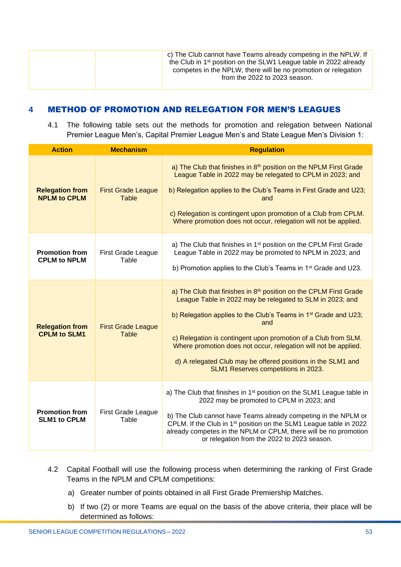|  | c) The Club cannot have Teams already competing in the NPLW. If<br>the Club in 1 <sup>st</sup> position on the SLW1 League table in 2022 already<br>competes in the NPLW, there will be no promotion or relegation<br>from the 2022 to 2023 season. |
|--|-----------------------------------------------------------------------------------------------------------------------------------------------------------------------------------------------------------------------------------------------------|
|--|-----------------------------------------------------------------------------------------------------------------------------------------------------------------------------------------------------------------------------------------------------|

# <span id="page-52-0"></span>**4** METHOD OF PROMOTION AND RELEGATION FOR MEN'S LEAGUES

4.1 The following table sets out the methods for promotion and relegation between National Premier League Men's, Capital Premier League Men's and State League Men's Division 1:

| <b>Action</b>                                 | <b>Mechanism</b>                          | <b>Regulation</b>                                                                                                                                                                                                                                                                                                                                                                                                                                                |
|-----------------------------------------------|-------------------------------------------|------------------------------------------------------------------------------------------------------------------------------------------------------------------------------------------------------------------------------------------------------------------------------------------------------------------------------------------------------------------------------------------------------------------------------------------------------------------|
| <b>Relegation from</b><br><b>NPLM to CPLM</b> | <b>First Grade League</b><br><b>Table</b> | a) The Club that finishes in 8th position on the NPLM First Grade<br>League Table in 2022 may be relegated to CPLM in 2023; and<br>b) Relegation applies to the Club's Teams in First Grade and U23;<br>and<br>c) Relegation is contingent upon promotion of a Club from CPLM.<br>Where promotion does not occur, relegation will not be applied.                                                                                                                |
| <b>Promotion from</b><br><b>CPLM to NPLM</b>  | First Grade League<br>Table               | a) The Club that finishes in 1 <sup>st</sup> position on the CPLM First Grade<br>League Table in 2022 may be promoted to NPLM in 2023; and<br>b) Promotion applies to the Club's Teams in 1 <sup>st</sup> Grade and U23.                                                                                                                                                                                                                                         |
| <b>Relegation from</b><br><b>CPLM to SLM1</b> | <b>First Grade League</b><br><b>Table</b> | a) The Club that finishes in 8th position on the CPLM First Grade<br>League Table in 2022 may be relegated to SLM in 2023; and<br>b) Relegation applies to the Club's Teams in 1 <sup>st</sup> Grade and U23;<br>and<br>c) Relegation is contingent upon promotion of a Club from SLM.<br>Where promotion does not occur, relegation will not be applied.<br>d) A relegated Club may be offered positions in the SLM1 and<br>SLM1 Reserves competitions in 2023. |
| <b>Promotion from</b><br><b>SLM1 to CPLM</b>  | <b>First Grade League</b><br>Table        | a) The Club that finishes in 1 <sup>st</sup> position on the SLM1 League table in<br>2022 may be promoted to CPLM in 2023; and<br>b) The Club cannot have Teams already competing in the NPLM or<br>CPLM. If the Club in 1 <sup>st</sup> position on the SLM1 League table in 2022<br>already competes in the NPLM or CPLM, there will be no promotion<br>or relegation from the 2022 to 2023 season.                                                            |

- 4.2 Capital Football will use the following process when determining the ranking of First Grade Teams in the NPLM and CPLM competitions:
	- a) Greater number of points obtained in all First Grade Premiership Matches.
	- b) If two (2) or more Teams are equal on the basis of the above criteria, their place will be determined as follows: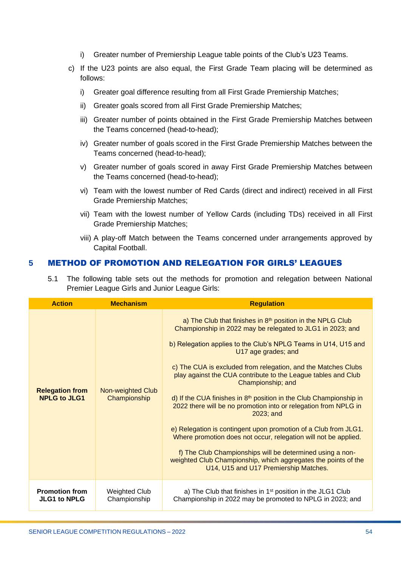- i) Greater number of Premiership League table points of the Club's U23 Teams.
- c) If the U23 points are also equal, the First Grade Team placing will be determined as follows:
	- i) Greater goal difference resulting from all First Grade Premiership Matches;
	- ii) Greater goals scored from all First Grade Premiership Matches;
	- iii) Greater number of points obtained in the First Grade Premiership Matches between the Teams concerned (head-to-head);
	- iv) Greater number of goals scored in the First Grade Premiership Matches between the Teams concerned (head-to-head);
	- v) Greater number of goals scored in away First Grade Premiership Matches between the Teams concerned (head-to-head);
	- vi) Team with the lowest number of Red Cards (direct and indirect) received in all First Grade Premiership Matches;
	- vii) Team with the lowest number of Yellow Cards (including TDs) received in all First Grade Premiership Matches;
	- viii) A play-off Match between the Teams concerned under arrangements approved by Capital Football.

#### <span id="page-53-0"></span>**5** METHOD OF PROMOTION AND RELEGATION FOR GIRLS' LEAGUES

5.1 The following table sets out the methods for promotion and relegation between National Premier League Girls and Junior League Girls:

| <b>Action</b>                                 | <b>Mechanism</b>                     | <b>Regulation</b>                                                                                                                                                                                                                                                                                                                                                                                                                                                                                                                                                                                                                                                                                                                                                                                                                                                    |  |
|-----------------------------------------------|--------------------------------------|----------------------------------------------------------------------------------------------------------------------------------------------------------------------------------------------------------------------------------------------------------------------------------------------------------------------------------------------------------------------------------------------------------------------------------------------------------------------------------------------------------------------------------------------------------------------------------------------------------------------------------------------------------------------------------------------------------------------------------------------------------------------------------------------------------------------------------------------------------------------|--|
| <b>Relegation from</b><br><b>NPLG to JLG1</b> | Non-weighted Club<br>Championship    | a) The Club that finishes in 8 <sup>th</sup> position in the NPLG Club<br>Championship in 2022 may be relegated to JLG1 in 2023; and<br>b) Relegation applies to the Club's NPLG Teams in U14, U15 and<br>U17 age grades; and<br>c) The CUA is excluded from relegation, and the Matches Clubs<br>play against the CUA contribute to the League tables and Club<br>Championship; and<br>d) If the CUA finishes in 8 <sup>th</sup> position in the Club Championship in<br>2022 there will be no promotion into or relegation from NPLG in<br>2023; and<br>e) Relegation is contingent upon promotion of a Club from JLG1.<br>Where promotion does not occur, relegation will not be applied.<br>f) The Club Championships will be determined using a non-<br>weighted Club Championship, which aggregates the points of the<br>U14, U15 and U17 Premiership Matches. |  |
| <b>Promotion from</b><br><b>JLG1 to NPLG</b>  | <b>Weighted Club</b><br>Championship | a) The Club that finishes in 1 <sup>st</sup> position in the JLG1 Club<br>Championship in 2022 may be promoted to NPLG in 2023; and                                                                                                                                                                                                                                                                                                                                                                                                                                                                                                                                                                                                                                                                                                                                  |  |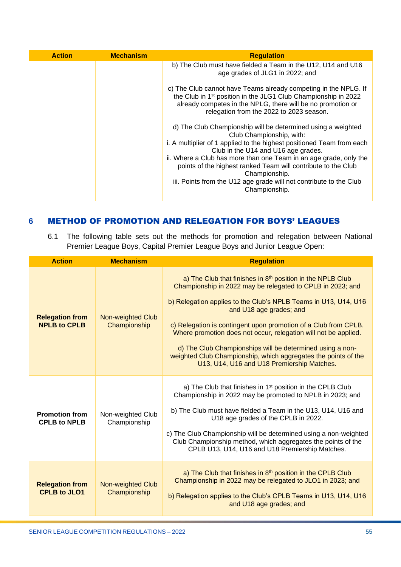| <b>Action</b> | <b>Mechanism</b> | <b>Regulation</b>                                                                                                                                                                                                                                                                                                                                                                                                                                      |
|---------------|------------------|--------------------------------------------------------------------------------------------------------------------------------------------------------------------------------------------------------------------------------------------------------------------------------------------------------------------------------------------------------------------------------------------------------------------------------------------------------|
|               |                  | b) The Club must have fielded a Team in the U12, U14 and U16<br>age grades of JLG1 in 2022; and                                                                                                                                                                                                                                                                                                                                                        |
|               |                  | c) The Club cannot have Teams already competing in the NPLG. If<br>the Club in 1 <sup>st</sup> position in the JLG1 Club Championship in 2022<br>already competes in the NPLG, there will be no promotion or<br>relegation from the 2022 to 2023 season.                                                                                                                                                                                               |
|               |                  | d) The Club Championship will be determined using a weighted<br>Club Championship, with:<br>i. A multiplier of 1 applied to the highest positioned Team from each<br>Club in the U14 and U16 age grades.<br>ii. Where a Club has more than one Team in an age grade, only the<br>points of the highest ranked Team will contribute to the Club<br>Championship.<br>iii. Points from the U12 age grade will not contribute to the Club<br>Championship. |

# <span id="page-54-0"></span>**6** METHOD OF PROMOTION AND RELEGATION FOR BOYS' LEAGUES

6.1 The following table sets out the methods for promotion and relegation between National Premier League Boys, Capital Premier League Boys and Junior League Open:

| <b>Action</b>                                 | <b>Mechanism</b>                         | <b>Regulation</b>                                                                                                                                                                                                                                                                                                                                                                                                                                                                                                                                     |  |
|-----------------------------------------------|------------------------------------------|-------------------------------------------------------------------------------------------------------------------------------------------------------------------------------------------------------------------------------------------------------------------------------------------------------------------------------------------------------------------------------------------------------------------------------------------------------------------------------------------------------------------------------------------------------|--|
| <b>Relegation from</b><br><b>NPLB to CPLB</b> | <b>Non-weighted Club</b><br>Championship | a) The Club that finishes in 8 <sup>th</sup> position in the NPLB Club<br>Championship in 2022 may be relegated to CPLB in 2023; and<br>b) Relegation applies to the Club's NPLB Teams in U13, U14, U16<br>and U18 age grades; and<br>c) Relegation is contingent upon promotion of a Club from CPLB.<br>Where promotion does not occur, relegation will not be applied.<br>d) The Club Championships will be determined using a non-<br>weighted Club Championship, which aggregates the points of the<br>U13, U14, U16 and U18 Premiership Matches. |  |
| <b>Promotion from</b><br><b>CPLB to NPLB</b>  | Non-weighted Club<br>Championship        | a) The Club that finishes in 1 <sup>st</sup> position in the CPLB Club<br>Championship in 2022 may be promoted to NPLB in 2023; and<br>b) The Club must have fielded a Team in the U13, U14, U16 and<br>U18 age grades of the CPLB in 2022.<br>c) The Club Championship will be determined using a non-weighted<br>Club Championship method, which aggregates the points of the<br>CPLB U13, U14, U16 and U18 Premiership Matches.                                                                                                                    |  |
| <b>Relegation from</b><br><b>CPLB to JLO1</b> | Non-weighted Club<br>Championship        | a) The Club that finishes in 8 <sup>th</sup> position in the CPLB Club<br>Championship in 2022 may be relegated to JLO1 in 2023; and<br>b) Relegation applies to the Club's CPLB Teams in U13, U14, U16<br>and U18 age grades; and                                                                                                                                                                                                                                                                                                                    |  |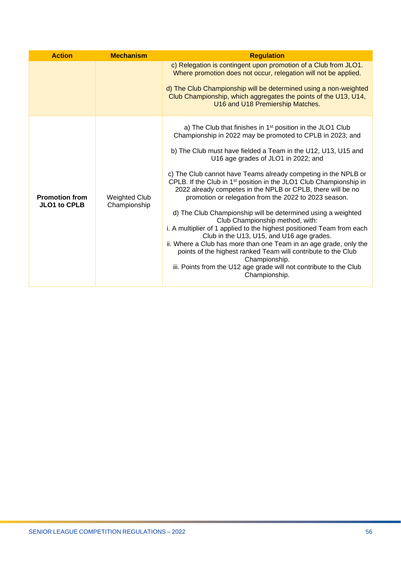| <b>Action</b>                                | <b>Mechanism</b>                     | <b>Regulation</b>                                                                                                                                                                                                                                                                                                                                                                                                                                                                                                                                                                                                                                                                                                                                                                                                                                                                                                                                                                              |  |
|----------------------------------------------|--------------------------------------|------------------------------------------------------------------------------------------------------------------------------------------------------------------------------------------------------------------------------------------------------------------------------------------------------------------------------------------------------------------------------------------------------------------------------------------------------------------------------------------------------------------------------------------------------------------------------------------------------------------------------------------------------------------------------------------------------------------------------------------------------------------------------------------------------------------------------------------------------------------------------------------------------------------------------------------------------------------------------------------------|--|
|                                              |                                      | c) Relegation is contingent upon promotion of a Club from JLO1.<br>Where promotion does not occur, relegation will not be applied.<br>d) The Club Championship will be determined using a non-weighted<br>Club Championship, which aggregates the points of the U13, U14,<br>U16 and U18 Premiership Matches.                                                                                                                                                                                                                                                                                                                                                                                                                                                                                                                                                                                                                                                                                  |  |
| <b>Promotion from</b><br><b>JLO1 to CPLB</b> | <b>Weighted Club</b><br>Championship | a) The Club that finishes in 1 <sup>st</sup> position in the JLO1 Club<br>Championship in 2022 may be promoted to CPLB in 2023; and<br>b) The Club must have fielded a Team in the U12, U13, U15 and<br>U16 age grades of JLO1 in 2022; and<br>c) The Club cannot have Teams already competing in the NPLB or<br>CPLB. If the Club in 1 <sup>st</sup> position in the JLO1 Club Championship in<br>2022 already competes in the NPLB or CPLB, there will be no<br>promotion or relegation from the 2022 to 2023 season.<br>d) The Club Championship will be determined using a weighted<br>Club Championship method, with:<br>i. A multiplier of 1 applied to the highest positioned Team from each<br>Club in the U13, U15, and U16 age grades.<br>ii. Where a Club has more than one Team in an age grade, only the<br>points of the highest ranked Team will contribute to the Club<br>Championship.<br>iii. Points from the U12 age grade will not contribute to the Club<br>Championship. |  |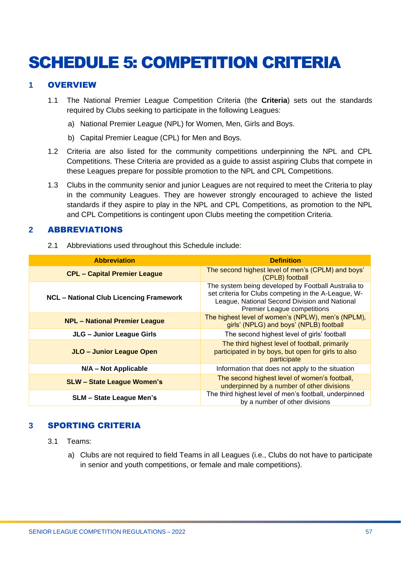# <span id="page-56-0"></span>SCHEDULE 5: COMPETITION CRITERIA

#### <span id="page-56-1"></span>**1** OVERVIEW

- 1.1 The National Premier League Competition Criteria (the **Criteria**) sets out the standards required by Clubs seeking to participate in the following Leagues:
	- a) National Premier League (NPL) for Women, Men, Girls and Boys.
	- b) Capital Premier League (CPL) for Men and Boys.
- 1.2 Criteria are also listed for the community competitions underpinning the NPL and CPL Competitions. These Criteria are provided as a guide to assist aspiring Clubs that compete in these Leagues prepare for possible promotion to the NPL and CPL Competitions.
- 1.3 Clubs in the community senior and junior Leagues are not required to meet the Criteria to play in the community Leagues. They are however strongly encouraged to achieve the listed standards if they aspire to play in the NPL and CPL Competitions, as promotion to the NPL and CPL Competitions is contingent upon Clubs meeting the competition Criteria.

#### <span id="page-56-2"></span>**2** ABBREVIATIONS

2.1 Abbreviations used throughout this Schedule include:

| <b>Abbreviation</b>                            | <b>Definition</b>                                                                                                                                                                                  |  |
|------------------------------------------------|----------------------------------------------------------------------------------------------------------------------------------------------------------------------------------------------------|--|
| <b>CPL - Capital Premier League</b>            | The second highest level of men's (CPLM) and boys'<br>(CPLB) football                                                                                                                              |  |
| <b>NCL - National Club Licencing Framework</b> | The system being developed by Football Australia to<br>set criteria for Clubs competing in the A-League, W-<br>League, National Second Division and National<br><b>Premier League competitions</b> |  |
| <b>NPL - National Premier League</b>           | The highest level of women's (NPLW), men's (NPLM),<br>girls' (NPLG) and boys' (NPLB) football                                                                                                      |  |
| JLG - Junior League Girls                      | The second highest level of girls' football                                                                                                                                                        |  |
| JLO - Junior League Open                       | The third highest level of football, primarily<br>participated in by boys, but open for girls to also<br>participate                                                                               |  |
| N/A - Not Applicable                           | Information that does not apply to the situation                                                                                                                                                   |  |
| <b>SLW - State League Women's</b>              | The second highest level of women's football,<br>underpinned by a number of other divisions                                                                                                        |  |
| <b>SLM - State League Men's</b>                | The third highest level of men's football, underpinned<br>by a number of other divisions                                                                                                           |  |

# <span id="page-56-3"></span>**3** SPORTING CRITERIA

- 3.1 Teams:
	- a) Clubs are not required to field Teams in all Leagues (i.e., Clubs do not have to participate in senior and youth competitions, or female and male competitions).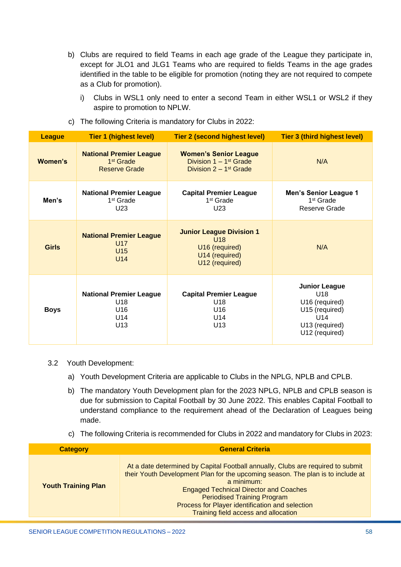- b) Clubs are required to field Teams in each age grade of the League they participate in, except for JLO1 and JLG1 Teams who are required to fields Teams in the age grades identified in the table to be eligible for promotion (noting they are not required to compete as a Club for promotion).
	- i) Clubs in WSL1 only need to enter a second Team in either WSL1 or WSL2 if they aspire to promotion to NPLW.

| <b>League</b> | <b>Tier 1 (highest level)</b>                                                   | Tier 2 (second highest level)                                                                                | <b>Tier 3 (third highest level)</b>                                                                                    |
|---------------|---------------------------------------------------------------------------------|--------------------------------------------------------------------------------------------------------------|------------------------------------------------------------------------------------------------------------------------|
| Women's       | <b>National Premier League</b><br>1 <sup>st</sup> Grade<br><b>Reserve Grade</b> | <b>Women's Senior League</b><br>Division $1 - 1$ <sup>st</sup> Grade<br>Division $2 - 1$ <sup>st</sup> Grade | N/A                                                                                                                    |
| Men's         | <b>National Premier League</b><br>1 <sup>st</sup> Grade<br>U <sub>23</sub>      | <b>Capital Premier League</b><br>1 <sup>st</sup> Grade<br>U <sub>23</sub>                                    | <b>Men's Senior League 1</b><br>1 <sup>st</sup> Grade<br>Reserve Grade                                                 |
| <b>Girls</b>  | <b>National Premier League</b><br>U17<br>U15<br>U14                             | <b>Junior League Division 1</b><br>U18<br>U16 (required)<br>U14 (required)<br>U12 (required)                 | N/A                                                                                                                    |
| <b>Boys</b>   | <b>National Premier League</b><br>U18<br>U16<br>U14<br>U13                      | <b>Capital Premier League</b><br>U18<br>U16<br>U14<br>U13                                                    | <b>Junior League</b><br>U <sub>18</sub><br>U16 (required)<br>U15 (required)<br>U14<br>U13 (required)<br>U12 (required) |

c) The following Criteria is mandatory for Clubs in 2022:

#### 3.2 Youth Development:

- a) Youth Development Criteria are applicable to Clubs in the NPLG, NPLB and CPLB.
- b) The mandatory Youth Development plan for the 2023 NPLG, NPLB and CPLB season is due for submission to Capital Football by 30 June 2022. This enables Capital Football to understand compliance to the requirement ahead of the Declaration of Leagues being made.
- c) The following Criteria is recommended for Clubs in 2022 and mandatory for Clubs in 2023:

| <b>Category</b>            | <b>General Criteria</b>                                                                                                                                                                                                                                                                                                                                            |  |  |
|----------------------------|--------------------------------------------------------------------------------------------------------------------------------------------------------------------------------------------------------------------------------------------------------------------------------------------------------------------------------------------------------------------|--|--|
| <b>Youth Training Plan</b> | At a date determined by Capital Football annually, Clubs are required to submit<br>their Youth Development Plan for the upcoming season. The plan is to include at<br>a minimum:<br><b>Engaged Technical Director and Coaches</b><br><b>Periodised Training Program</b><br>Process for Player identification and selection<br>Training field access and allocation |  |  |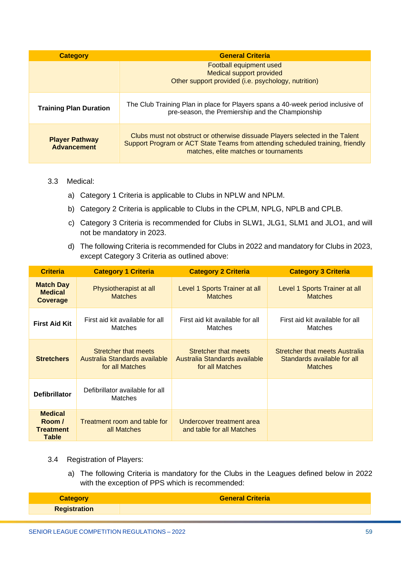| <b>Category</b>                             | <b>General Criteria</b>                                                                                                                                                                                 |  |  |  |
|---------------------------------------------|---------------------------------------------------------------------------------------------------------------------------------------------------------------------------------------------------------|--|--|--|
|                                             | Football equipment used<br><b>Medical support provided</b><br>Other support provided (i.e. psychology, nutrition)                                                                                       |  |  |  |
| <b>Training Plan Duration</b>               | The Club Training Plan in place for Players spans a 40-week period inclusive of<br>pre-season, the Premiership and the Championship                                                                     |  |  |  |
| <b>Player Pathway</b><br><b>Advancement</b> | Clubs must not obstruct or otherwise dissuade Players selected in the Talent<br>Support Program or ACT State Teams from attending scheduled training, friendly<br>matches, elite matches or tournaments |  |  |  |

#### 3.3 Medical:

- a) Category 1 Criteria is applicable to Clubs in NPLW and NPLM.
- b) Category 2 Criteria is applicable to Clubs in the CPLM, NPLG, NPLB and CPLB.
- c) Category 3 Criteria is recommended for Clubs in SLW1, JLG1, SLM1 and JLO1, and will not be mandatory in 2023.
- d) The following Criteria is recommended for Clubs in 2022 and mandatory for Clubs in 2023, except Category 3 Criteria as outlined above:

| <b>Criteria</b>                                              | <b>Category 1 Criteria</b>                                               | <b>Category 2 Criteria</b>                                               | <b>Category 3 Criteria</b>                                                      |
|--------------------------------------------------------------|--------------------------------------------------------------------------|--------------------------------------------------------------------------|---------------------------------------------------------------------------------|
| <b>Match Day</b><br><b>Medical</b><br><b>Coverage</b>        | Physiotherapist at all<br><b>Matches</b>                                 | Level 1 Sports Trainer at all<br><b>Matches</b>                          | Level 1 Sports Trainer at all<br><b>Matches</b>                                 |
| <b>First Aid Kit</b>                                         | First aid kit available for all<br><b>Matches</b>                        | First aid kit available for all<br><b>Matches</b>                        | First aid kit available for all<br>Matches                                      |
| <b>Stretchers</b>                                            | Stretcher that meets<br>Australia Standards available<br>for all Matches | Stretcher that meets<br>Australia Standards available<br>for all Matches | Stretcher that meets Australia<br>Standards available for all<br><b>Matches</b> |
| <b>Defibrillator</b>                                         | Defibrillator available for all<br>Matches                               |                                                                          |                                                                                 |
| <b>Medical</b><br>Room /<br><b>Treatment</b><br><b>Table</b> | Treatment room and table for<br>all Matches                              | Undercover treatment area<br>and table for all Matches                   |                                                                                 |

- 3.4 Registration of Players:
	- a) The following Criteria is mandatory for the Clubs in the Leagues defined below in 2022 with the exception of PPS which is recommended:

| <b>Category</b>     | <b>General Criteria</b> |
|---------------------|-------------------------|
| <b>Registration</b> |                         |
|                     |                         |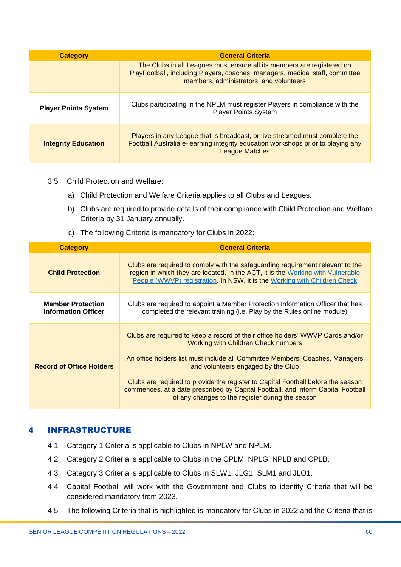| <b>Category</b>             | <b>General Criteria</b>                                                                                                                                                                           |
|-----------------------------|---------------------------------------------------------------------------------------------------------------------------------------------------------------------------------------------------|
|                             | The Clubs in all Leagues must ensure all its members are registered on<br>PlayFootball, including Players, coaches, managers, medical staff, committee<br>members, administrators, and volunteers |
| <b>Player Points System</b> | Clubs participating in the NPLM must register Players in compliance with the<br><b>Player Points System</b>                                                                                       |
| <b>Integrity Education</b>  | Players in any League that is broadcast, or live streamed must complete the<br>Football Australia e-learning integrity education workshops prior to playing any<br><b>League Matches</b>          |

- 3.5 Child Protection and Welfare:
	- a) Child Protection and Welfare Criteria applies to all Clubs and Leagues.
	- b) Clubs are required to provide details of their compliance with Child Protection and Welfare Criteria by 31 January annually.
	- c) The following Criteria is mandatory for Clubs in 2022:

| <b>Category</b>                                        | <b>General Criteria</b>                                                                                                                                                                                                                                                                                                                                                                                                                                                        |  |  |
|--------------------------------------------------------|--------------------------------------------------------------------------------------------------------------------------------------------------------------------------------------------------------------------------------------------------------------------------------------------------------------------------------------------------------------------------------------------------------------------------------------------------------------------------------|--|--|
| <b>Child Protection</b>                                | Clubs are required to comply with the safeguarding requirement relevant to the<br>region in which they are located. In the ACT, it is the Working with Vulnerable<br>People (WWVP) registration. In NSW, it is the Working with Children Check                                                                                                                                                                                                                                 |  |  |
| <b>Member Protection</b><br><b>Information Officer</b> | Clubs are required to appoint a Member Protection Information Officer that has<br>completed the relevant training (i.e. Play by the Rules online module)                                                                                                                                                                                                                                                                                                                       |  |  |
| <b>Record of Office Holders</b>                        | Clubs are required to keep a record of their office holders' WWVP Cards and/or<br><b>Working with Children Check numbers</b><br>An office holders list must include all Committee Members, Coaches, Managers<br>and volunteers engaged by the Club<br>Clubs are required to provide the register to Capital Football before the season<br>commences, at a date prescribed by Capital Football, and inform Capital Football<br>of any changes to the register during the season |  |  |

#### <span id="page-59-0"></span>**4** INFRASTRUCTURE

- 4.1 Category 1 Criteria is applicable to Clubs in NPLW and NPLM.
- 4.2 Category 2 Criteria is applicable to Clubs in the CPLM, NPLG, NPLB and CPLB.
- 4.3 Category 3 Criteria is applicable to Clubs in SLW1, JLG1, SLM1 and JLO1.
- 4.4 Capital Football will work with the Government and Clubs to identify Criteria that will be considered mandatory from 2023.
- 4.5 The following Criteria that is highlighted is mandatory for Clubs in 2022 and the Criteria that is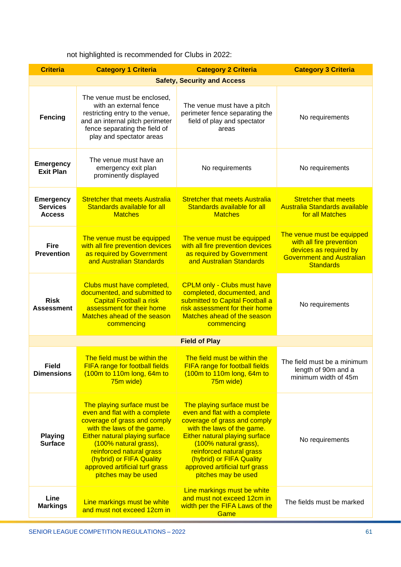|  |  | not highlighted is recommended for Clubs in 2022: |  |  |  |  |
|--|--|---------------------------------------------------|--|--|--|--|
|--|--|---------------------------------------------------|--|--|--|--|

| <b>Criteria</b>                                      | <b>Category 1 Criteria</b>                                                                                                                                                                                                                                                                                    | <b>Category 3 Criteria</b>                                                                                                                                                                                                                                                                                    |                                                                                                                                          |  |  |
|------------------------------------------------------|---------------------------------------------------------------------------------------------------------------------------------------------------------------------------------------------------------------------------------------------------------------------------------------------------------------|---------------------------------------------------------------------------------------------------------------------------------------------------------------------------------------------------------------------------------------------------------------------------------------------------------------|------------------------------------------------------------------------------------------------------------------------------------------|--|--|
|                                                      | <b>Safety, Security and Access</b>                                                                                                                                                                                                                                                                            |                                                                                                                                                                                                                                                                                                               |                                                                                                                                          |  |  |
| Fencing                                              | The venue must be enclosed,<br>with an external fence<br>restricting entry to the venue,<br>and an internal pitch perimeter<br>fence separating the field of<br>play and spectator areas                                                                                                                      | The venue must have a pitch<br>perimeter fence separating the<br>field of play and spectator<br>areas                                                                                                                                                                                                         | No requirements                                                                                                                          |  |  |
| <b>Emergency</b><br><b>Exit Plan</b>                 | The venue must have an<br>emergency exit plan<br>prominently displayed                                                                                                                                                                                                                                        | No requirements                                                                                                                                                                                                                                                                                               | No requirements                                                                                                                          |  |  |
| <b>Emergency</b><br><b>Services</b><br><b>Access</b> | <b>Stretcher that meets Australia</b><br>Standards available for all<br><b>Matches</b>                                                                                                                                                                                                                        | <b>Stretcher that meets Australia</b><br>Standards available for all<br><b>Matches</b>                                                                                                                                                                                                                        | <b>Stretcher that meets</b><br>Australia Standards available<br>for all Matches                                                          |  |  |
| <b>Fire</b><br><b>Prevention</b>                     | The venue must be equipped<br>with all fire prevention devices<br>as required by Government<br>and Australian Standards                                                                                                                                                                                       | The venue must be equipped<br>with all fire prevention devices<br>as required by Government<br>and Australian Standards                                                                                                                                                                                       | The venue must be equipped<br>with all fire prevention<br>devices as required by<br><b>Government and Australian</b><br><b>Standards</b> |  |  |
| <b>Risk</b><br><b>Assessment</b>                     | Clubs must have completed,<br>documented, and submitted to<br><b>Capital Football a risk</b><br>assessment for their home<br>Matches ahead of the season<br>commencing                                                                                                                                        | <b>CPLM only - Clubs must have</b><br>completed, documented, and<br>submitted to Capital Football a<br>risk assessment for their home<br>Matches ahead of the season<br>commencing                                                                                                                            | No requirements                                                                                                                          |  |  |
| <b>Field of Play</b>                                 |                                                                                                                                                                                                                                                                                                               |                                                                                                                                                                                                                                                                                                               |                                                                                                                                          |  |  |
| <b>Field</b><br><b>Dimensions</b>                    | The field must be within the<br>FIFA range for football fields<br>(100m to 110m long, 64m to<br>75m wide)                                                                                                                                                                                                     | The field must be within the<br><b>FIFA range for football fields</b><br>(100m to 110m long, 64m to<br>75m wide)                                                                                                                                                                                              | The field must be a minimum<br>length of 90m and a<br>minimum width of 45m                                                               |  |  |
| <b>Playing</b><br><b>Surface</b>                     | The playing surface must be<br>even and flat with a complete<br>coverage of grass and comply<br>with the laws of the game.<br><b>Either natural playing surface</b><br>(100% natural grass),<br>reinforced natural grass<br>(hybrid) or FIFA Quality<br>approved artificial turf grass<br>pitches may be used | The playing surface must be<br>even and flat with a complete<br>coverage of grass and comply<br>with the laws of the game.<br><b>Either natural playing surface</b><br>(100% natural grass),<br>reinforced natural grass<br>(hybrid) or FIFA Quality<br>approved artificial turf grass<br>pitches may be used | No requirements                                                                                                                          |  |  |
| Line<br><b>Markings</b>                              | Line markings must be white<br>and must not exceed 12cm in                                                                                                                                                                                                                                                    | Line markings must be white<br>and must not exceed 12cm in<br>width per the FIFA Laws of the<br>Game                                                                                                                                                                                                          | The fields must be marked                                                                                                                |  |  |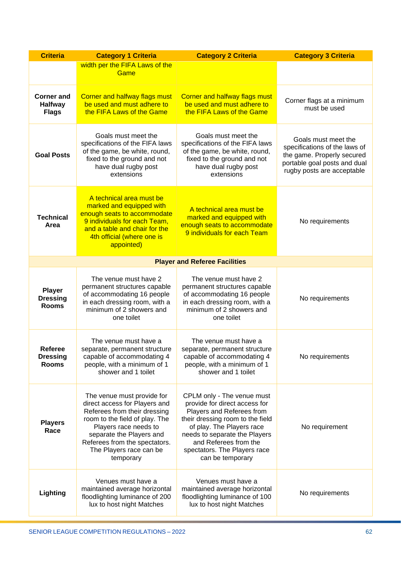| <b>Criteria</b>                                     | <b>Category 1 Criteria</b><br><b>Category 2 Criteria</b>                                                                                                                                                                                                    |                                                                                                                                                                                                                                                                         | <b>Category 3 Criteria</b>                                                                                                                       |  |
|-----------------------------------------------------|-------------------------------------------------------------------------------------------------------------------------------------------------------------------------------------------------------------------------------------------------------------|-------------------------------------------------------------------------------------------------------------------------------------------------------------------------------------------------------------------------------------------------------------------------|--------------------------------------------------------------------------------------------------------------------------------------------------|--|
|                                                     | width per the FIFA Laws of the<br>Game                                                                                                                                                                                                                      |                                                                                                                                                                                                                                                                         |                                                                                                                                                  |  |
| <b>Corner and</b><br><b>Halfway</b><br><b>Flags</b> | <b>Corner and halfway flags must</b><br>be used and must adhere to<br>the FIFA Laws of the Game                                                                                                                                                             | <b>Corner and halfway flags must</b><br>be used and must adhere to<br>the FIFA Laws of the Game                                                                                                                                                                         | Corner flags at a minimum<br>must be used                                                                                                        |  |
| <b>Goal Posts</b>                                   | Goals must meet the<br>specifications of the FIFA laws<br>of the game, be white, round,<br>fixed to the ground and not<br>have dual rugby post<br>extensions                                                                                                | Goals must meet the<br>specifications of the FIFA laws<br>of the game, be white, round,<br>fixed to the ground and not<br>have dual rugby post<br>extensions                                                                                                            | Goals must meet the<br>specifications of the laws of<br>the game. Properly secured<br>portable goal posts and dual<br>rugby posts are acceptable |  |
| <b>Technical</b><br>Area                            | A technical area must be<br>marked and equipped with<br>enough seats to accommodate<br>9 individuals for each Team,<br>and a table and chair for the<br>4th official (where one is<br>appointed)                                                            | A technical area must be<br>marked and equipped with<br>enough seats to accommodate<br>9 individuals for each Team                                                                                                                                                      | No requirements                                                                                                                                  |  |
|                                                     |                                                                                                                                                                                                                                                             | <b>Player and Referee Facilities</b>                                                                                                                                                                                                                                    |                                                                                                                                                  |  |
| <b>Player</b><br><b>Dressing</b><br><b>Rooms</b>    | The venue must have 2<br>permanent structures capable<br>of accommodating 16 people<br>in each dressing room, with a<br>minimum of 2 showers and<br>one toilet                                                                                              | The venue must have 2<br>permanent structures capable<br>of accommodating 16 people<br>in each dressing room, with a<br>minimum of 2 showers and<br>one toilet                                                                                                          | No requirements                                                                                                                                  |  |
| <b>Referee</b><br><b>Dressing</b><br><b>Rooms</b>   | The venue must have a<br>separate, permanent structure<br>capable of accommodating 4<br>people, with a minimum of 1<br>shower and 1 toilet                                                                                                                  | The venue must have a<br>separate, permanent structure<br>capable of accommodating 4<br>people, with a minimum of 1<br>shower and 1 toilet                                                                                                                              | No requirements                                                                                                                                  |  |
| <b>Players</b><br>Race                              | The venue must provide for<br>direct access for Players and<br>Referees from their dressing<br>room to the field of play. The<br>Players race needs to<br>separate the Players and<br>Referees from the spectators.<br>The Players race can be<br>temporary | CPLM only - The venue must<br>provide for direct access for<br>Players and Referees from<br>their dressing room to the field<br>of play. The Players race<br>needs to separate the Players<br>and Referees from the<br>spectators. The Players race<br>can be temporary | No requirement                                                                                                                                   |  |
| Lighting                                            | Venues must have a<br>maintained average horizontal<br>floodlighting luminance of 200<br>lux to host night Matches                                                                                                                                          | Venues must have a<br>maintained average horizontal<br>floodlighting luminance of 100<br>lux to host night Matches                                                                                                                                                      | No requirements                                                                                                                                  |  |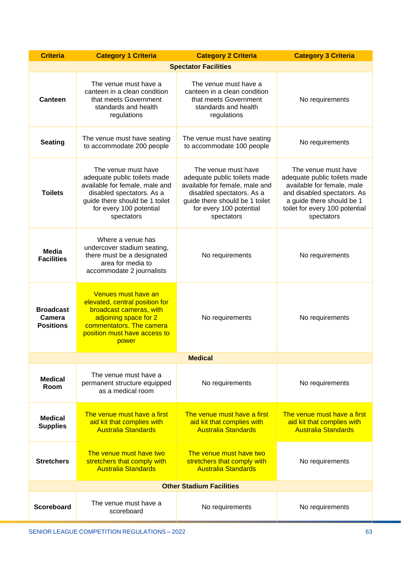| <b>Criteria</b>                                | <b>Category 1 Criteria</b>                                                                                                                                                                        | <b>Category 2 Criteria</b>                                                                                                                                                                    | <b>Category 3 Criteria</b>                                                                                                                                                                    |  |
|------------------------------------------------|---------------------------------------------------------------------------------------------------------------------------------------------------------------------------------------------------|-----------------------------------------------------------------------------------------------------------------------------------------------------------------------------------------------|-----------------------------------------------------------------------------------------------------------------------------------------------------------------------------------------------|--|
|                                                |                                                                                                                                                                                                   | <b>Spectator Facilities</b>                                                                                                                                                                   |                                                                                                                                                                                               |  |
| Canteen                                        | The venue must have a<br>canteen in a clean condition<br>that meets Government<br>standards and health<br>regulations                                                                             | The venue must have a<br>canteen in a clean condition<br>that meets Government<br>standards and health<br>regulations                                                                         | No requirements                                                                                                                                                                               |  |
| <b>Seating</b>                                 | The venue must have seating<br>to accommodate 200 people                                                                                                                                          | The venue must have seating<br>to accommodate 100 people                                                                                                                                      | No requirements                                                                                                                                                                               |  |
| <b>Toilets</b>                                 | The venue must have<br>adequate public toilets made<br>available for female, male and<br>disabled spectators. As a<br>guide there should be 1 toilet<br>for every 100 potential<br>spectators     | The venue must have<br>adequate public toilets made<br>available for female, male and<br>disabled spectators. As a<br>guide there should be 1 toilet<br>for every 100 potential<br>spectators | The venue must have<br>adequate public toilets made<br>available for female, male<br>and disabled spectators. As<br>a guide there should be 1<br>toilet for every 100 potential<br>spectators |  |
| <b>Media</b><br><b>Facilities</b>              | Where a venue has<br>undercover stadium seating,<br>there must be a designated<br>area for media to<br>accommodate 2 journalists                                                                  | No requirements                                                                                                                                                                               | No requirements                                                                                                                                                                               |  |
| <b>Broadcast</b><br>Camera<br><b>Positions</b> | Venues must have an<br>elevated, central position for<br>broadcast cameras, with<br>adjoining space for 2<br>No requirements<br>commentators. The camera<br>position must have access to<br>power |                                                                                                                                                                                               | No requirements                                                                                                                                                                               |  |
| <b>Medical</b>                                 |                                                                                                                                                                                                   |                                                                                                                                                                                               |                                                                                                                                                                                               |  |
| <b>Medical</b><br>Room                         | The venue must have a<br>permanent structure equipped<br>as a medical room                                                                                                                        | No requirements                                                                                                                                                                               | No requirements                                                                                                                                                                               |  |
| <b>Medical</b><br><b>Supplies</b>              | The venue must have a first<br>aid kit that complies with<br><b>Australia Standards</b>                                                                                                           | The venue must have a first<br>aid kit that complies with<br><b>Australia Standards</b>                                                                                                       | The venue must have a first<br>aid kit that complies with<br><b>Australia Standards</b>                                                                                                       |  |
| <b>Stretchers</b>                              | The venue must have two<br>stretchers that comply with<br><b>Australia Standards</b>                                                                                                              | The venue must have two<br>stretchers that comply with<br><b>Australia Standards</b>                                                                                                          | No requirements                                                                                                                                                                               |  |
|                                                |                                                                                                                                                                                                   | <b>Other Stadium Facilities</b>                                                                                                                                                               |                                                                                                                                                                                               |  |
| <b>Scoreboard</b>                              | The venue must have a<br>scoreboard                                                                                                                                                               | No requirements                                                                                                                                                                               | No requirements                                                                                                                                                                               |  |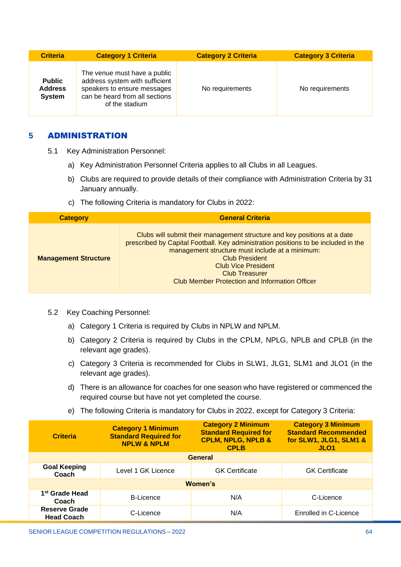| <b>Criteria</b>                                  | <b>Category 1 Criteria</b>                                                                                                                        | <b>Category 2 Criteria</b> | <b>Category 3 Criteria</b> |
|--------------------------------------------------|---------------------------------------------------------------------------------------------------------------------------------------------------|----------------------------|----------------------------|
| <b>Public</b><br><b>Address</b><br><b>System</b> | The venue must have a public<br>address system with sufficient<br>speakers to ensure messages<br>can be heard from all sections<br>of the stadium | No requirements            | No requirements            |

# <span id="page-63-0"></span>**5** ADMINISTRATION

- 5.1 Key Administration Personnel:
	- a) Key Administration Personnel Criteria applies to all Clubs in all Leagues.
	- b) Clubs are required to provide details of their compliance with Administration Criteria by 31 January annually.
	- c) The following Criteria is mandatory for Clubs in 2022:

| <b>Category</b>             | <b>General Criteria</b>                                                                                                                                                                                                                                                                                                                                    |
|-----------------------------|------------------------------------------------------------------------------------------------------------------------------------------------------------------------------------------------------------------------------------------------------------------------------------------------------------------------------------------------------------|
| <b>Management Structure</b> | Clubs will submit their management structure and key positions at a date<br>prescribed by Capital Football. Key administration positions to be included in the<br>management structure must include at a minimum:<br><b>Club President</b><br><b>Club Vice President</b><br><b>Club Treasurer</b><br><b>Club Member Protection and Information Officer</b> |

- 5.2 Key Coaching Personnel:
	- a) Category 1 Criteria is required by Clubs in NPLW and NPLM.
	- b) Category 2 Criteria is required by Clubs in the CPLM, NPLG, NPLB and CPLB (in the relevant age grades).
	- c) Category 3 Criteria is recommended for Clubs in SLW1, JLG1, SLM1 and JLO1 (in the relevant age grades).
	- d) There is an allowance for coaches for one season who have registered or commenced the required course but have not yet completed the course.
	- e) The following Criteria is mandatory for Clubs in 2022, except for Category 3 Criteria:

| <b>Criteria</b>                           | <b>Category 1 Minimum</b><br><b>Standard Required for</b><br><b>NPLW &amp; NPLM</b> | <b>Category 2 Minimum</b><br><b>Standard Required for</b><br><b>CPLM, NPLG, NPLB &amp;</b><br><b>CPLB</b> | <b>Category 3 Minimum</b><br><b>Standard Recommended</b><br>for SLW1, JLG1, SLM1 &<br>JLO <sub>1</sub> |  |
|-------------------------------------------|-------------------------------------------------------------------------------------|-----------------------------------------------------------------------------------------------------------|--------------------------------------------------------------------------------------------------------|--|
| <b>General</b>                            |                                                                                     |                                                                                                           |                                                                                                        |  |
| <b>Goal Keeping</b><br>Coach              | Level 1 GK Licence                                                                  | <b>GK</b> Certificate                                                                                     | <b>GK Certificate</b>                                                                                  |  |
| Women's                                   |                                                                                     |                                                                                                           |                                                                                                        |  |
| 1 <sup>st</sup> Grade Head<br>Coach       | <b>B-Licence</b>                                                                    | N/A                                                                                                       | C-Licence                                                                                              |  |
| <b>Reserve Grade</b><br><b>Head Coach</b> | C-Licence                                                                           | N/A                                                                                                       | Enrolled in C-Licence                                                                                  |  |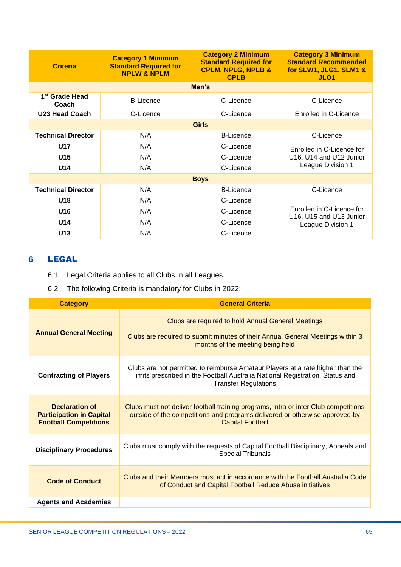| <b>Criteria</b>                     | <b>Category 1 Minimum</b><br><b>Standard Required for</b><br><b>NPLW &amp; NPLM</b> | <b>Category 2 Minimum</b><br><b>Standard Required for</b><br><b>CPLM, NPLG, NPLB &amp;</b><br><b>CPLB</b> | <b>Category 3 Minimum</b><br><b>Standard Recommended</b><br>for SLW1, JLG1, SLM1 &<br>JLO <sub>1</sub> |  |
|-------------------------------------|-------------------------------------------------------------------------------------|-----------------------------------------------------------------------------------------------------------|--------------------------------------------------------------------------------------------------------|--|
| Men's                               |                                                                                     |                                                                                                           |                                                                                                        |  |
| 1 <sup>st</sup> Grade Head<br>Coach | <b>B-Licence</b>                                                                    | C-Licence                                                                                                 | C-Licence                                                                                              |  |
| <b>U23 Head Coach</b>               | C-Licence                                                                           | C-Licence                                                                                                 | Enrolled in C-Licence                                                                                  |  |
| <b>Girls</b>                        |                                                                                     |                                                                                                           |                                                                                                        |  |
| <b>Technical Director</b>           | N/A                                                                                 | <b>B-Licence</b>                                                                                          | C-Licence                                                                                              |  |
| <b>U17</b>                          | N/A                                                                                 | C-Licence                                                                                                 | Enrolled in C-Licence for<br>U16, U14 and U12 Junior<br>League Division 1                              |  |
| U15                                 | N/A                                                                                 | C-Licence                                                                                                 |                                                                                                        |  |
| U14                                 | N/A                                                                                 | C-Licence                                                                                                 |                                                                                                        |  |
| <b>Boys</b>                         |                                                                                     |                                                                                                           |                                                                                                        |  |
| <b>Technical Director</b>           | N/A                                                                                 | <b>B-Licence</b>                                                                                          | C-Licence                                                                                              |  |
| U18                                 | N/A                                                                                 | C-Licence                                                                                                 |                                                                                                        |  |
| U16                                 | N/A                                                                                 | C-Licence                                                                                                 | Enrolled in C-Licence for<br>U16, U15 and U13 Junior<br>League Division 1                              |  |
| U14                                 | N/A                                                                                 | C-Licence                                                                                                 |                                                                                                        |  |
| U13                                 | N/A                                                                                 | C-Licence                                                                                                 |                                                                                                        |  |

# <span id="page-64-0"></span>**6** LEGAL

- 6.1 Legal Criteria applies to all Clubs in all Leagues.
- 6.2 The following Criteria is mandatory for Clubs in 2022:

| <b>Category</b>                                                                          | <b>General Criteria</b>                                                                                                                                                                        |
|------------------------------------------------------------------------------------------|------------------------------------------------------------------------------------------------------------------------------------------------------------------------------------------------|
| <b>Annual General Meeting</b>                                                            | Clubs are required to hold Annual General Meetings<br>Clubs are required to submit minutes of their Annual General Meetings within 3<br>months of the meeting being held                       |
| <b>Contracting of Players</b>                                                            | Clubs are not permitted to reimburse Amateur Players at a rate higher than the<br>limits prescribed in the Football Australia National Registration, Status and<br><b>Transfer Regulations</b> |
| <b>Declaration of</b><br><b>Participation in Capital</b><br><b>Football Competitions</b> | Clubs must not deliver football training programs, intra or inter Club competitions<br>outside of the competitions and programs delivered or otherwise approved by<br><b>Capital Football</b>  |
| <b>Disciplinary Procedures</b>                                                           | Clubs must comply with the requests of Capital Football Disciplinary, Appeals and<br><b>Special Tribunals</b>                                                                                  |
| <b>Code of Conduct</b>                                                                   | Clubs and their Members must act in accordance with the Football Australia Code<br>of Conduct and Capital Football Reduce Abuse initiatives                                                    |
| <b>Agents and Academies</b>                                                              |                                                                                                                                                                                                |